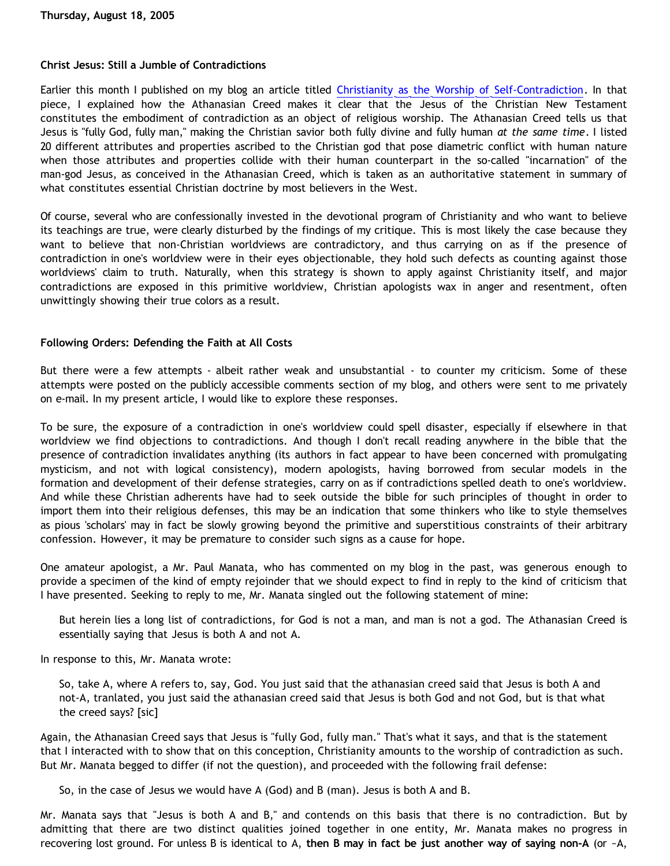#### **Christ Jesus: Still a Jumble of Contradictions**

Earlier this month I published on my blog an article titled [Christianity as the Worship of Self-Contradiction.](http://bahnsenburner.blogspot.com/2005/08/christianity-as-worship-of-self.html) In that piece, I explained how the Athanasian Creed makes it clear that the Jesus of the Christian New Testament constitutes the embodiment of contradiction as an object of religious worship. The Athanasian Creed tells us that Jesus is "fully God, fully man," making the Christian savior both fully divine and fully human *at the same time*. I listed 20 different attributes and properties ascribed to the Christian god that pose diametric conflict with human nature when those attributes and properties collide with their human counterpart in the so-called "incarnation" of the man-god Jesus, as conceived in the Athanasian Creed, which is taken as an authoritative statement in summary of what constitutes essential Christian doctrine by most believers in the West.

Of course, several who are confessionally invested in the devotional program of Christianity and who want to believe its teachings are true, were clearly disturbed by the findings of my critique. This is most likely the case because they want to believe that non-Christian worldviews are contradictory, and thus carrying on as if the presence of contradiction in one's worldview were in their eyes objectionable, they hold such defects as counting against those worldviews' claim to truth. Naturally, when this strategy is shown to apply against Christianity itself, and major contradictions are exposed in this primitive worldview, Christian apologists wax in anger and resentment, often unwittingly showing their true colors as a result.

### **Following Orders: Defending the Faith at All Costs**

But there were a few attempts - albeit rather weak and unsubstantial - to counter my criticism. Some of these attempts were posted on the publicly accessible comments section of my blog, and others were sent to me privately on e-mail. In my present article, I would like to explore these responses.

To be sure, the exposure of a contradiction in one's worldview could spell disaster, especially if elsewhere in that worldview we find objections to contradictions. And though I don't recall reading anywhere in the bible that the presence of contradiction invalidates anything (its authors in fact appear to have been concerned with promulgating mysticism, and not with logical consistency), modern apologists, having borrowed from secular models in the formation and development of their defense strategies, carry on as if contradictions spelled death to one's worldview. And while these Christian adherents have had to seek outside the bible for such principles of thought in order to import them into their religious defenses, this may be an indication that some thinkers who like to style themselves as pious 'scholars' may in fact be slowly growing beyond the primitive and superstitious constraints of their arbitrary confession. However, it may be premature to consider such signs as a cause for hope.

One amateur apologist, a Mr. Paul Manata, who has commented on my blog in the past, was generous enough to provide a specimen of the kind of empty rejoinder that we should expect to find in reply to the kind of criticism that I have presented. Seeking to reply to me, Mr. Manata singled out the following statement of mine:

But herein lies a long list of contradictions, for God is not a man, and man is not a god. The Athanasian Creed is essentially saying that Jesus is both A and not A.

In response to this, Mr. Manata wrote:

So, take A, where A refers to, say, God. You just said that the athanasian creed said that Jesus is both A and not-A, tranlated, you just said the athanasian creed said that Jesus is both God and not God, but is that what the creed says? [sic]

Again, the Athanasian Creed says that Jesus is "fully God, fully man." That's what it says, and that is the statement that I interacted with to show that on this conception, Christianity amounts to the worship of contradiction as such. But Mr. Manata begged to differ (if not the question), and proceeded with the following frail defense:

So, in the case of Jesus we would have A (God) and B (man). Jesus is both A and B.

Mr. Manata says that "Jesus is both A and B," and contends on this basis that there is no contradiction. But by admitting that there are two distinct qualities joined together in one entity, Mr. Manata makes no progress in recovering lost ground. For unless B is identical to A, **then B may in fact be just another way of saying non-A** (or ~A,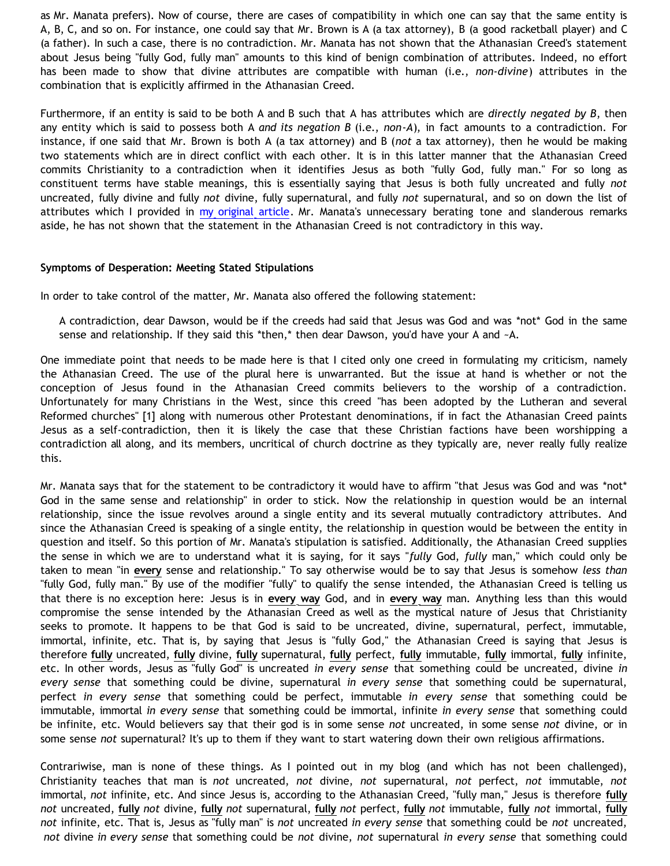as Mr. Manata prefers). Now of course, there are cases of compatibility in which one can say that the same entity is A, B, C, and so on. For instance, one could say that Mr. Brown is A (a tax attorney), B (a good racketball player) and C (a father). In such a case, there is no contradiction. Mr. Manata has not shown that the Athanasian Creed's statement about Jesus being "fully God, fully man" amounts to this kind of benign combination of attributes. Indeed, no effort has been made to show that divine attributes are compatible with human (i.e., *non-divine*) attributes in the combination that is explicitly affirmed in the Athanasian Creed.

Furthermore, if an entity is said to be both A and B such that A has attributes which are *directly negated by B*, then any entity which is said to possess both A *and its negation B* (i.e., *non*-*A*), in fact amounts to a contradiction. For instance, if one said that Mr. Brown is both A (a tax attorney) and B (*not* a tax attorney), then he would be making two statements which are in direct conflict with each other. It is in this latter manner that the Athanasian Creed commits Christianity to a contradiction when it identifies Jesus as both "fully God, fully man." For so long as constituent terms have stable meanings, this is essentially saying that Jesus is both fully uncreated and fully *not* uncreated, fully divine and fully *not* divine, fully supernatural, and fully *not* supernatural, and so on down the list of attributes which I provided in [my original article](http://bahnsenburner.blogspot.com/2005/08/christianity-as-worship-of-self.html). Mr. Manata's unnecessary berating tone and slanderous remarks aside, he has not shown that the statement in the Athanasian Creed is not contradictory in this way.

### **Symptoms of Desperation: Meeting Stated Stipulations**

In order to take control of the matter, Mr. Manata also offered the following statement:

A contradiction, dear Dawson, would be if the creeds had said that Jesus was God and was \*not\* God in the same sense and relationship. If they said this \*then,\* then dear Dawson, you'd have your A and  $-A$ .

One immediate point that needs to be made here is that I cited only one creed in formulating my criticism, namely the Athanasian Creed. The use of the plural here is unwarranted. But the issue at hand is whether or not the conception of Jesus found in the Athanasian Creed commits believers to the worship of a contradiction. Unfortunately for many Christians in the West, since this creed "has been adopted by the Lutheran and several Reformed churches" [1] along with numerous other Protestant denominations, if in fact the Athanasian Creed paints Jesus as a self-contradiction, then it is likely the case that these Christian factions have been worshipping a contradiction all along, and its members, uncritical of church doctrine as they typically are, never really fully realize this.

Mr. Manata says that for the statement to be contradictory it would have to affirm "that Jesus was God and was \*not\* God in the same sense and relationship" in order to stick. Now the relationship in question would be an internal relationship, since the issue revolves around a single entity and its several mutually contradictory attributes. And since the Athanasian Creed is speaking of a single entity, the relationship in question would be between the entity in question and itself. So this portion of Mr. Manata's stipulation is satisfied. Additionally, the Athanasian Creed supplies the sense in which we are to understand what it is saying, for it says "*fully* God, *fully* man," which could only be taken to mean "in **every** sense and relationship." To say otherwise would be to say that Jesus is somehow *less than* "fully God, fully man." By use of the modifier "fully" to qualify the sense intended, the Athanasian Creed is telling us that there is no exception here: Jesus is in **every way** God, and in **every way** man. Anything less than this would compromise the sense intended by the Athanasian Creed as well as the mystical nature of Jesus that Christianity seeks to promote. It happens to be that God is said to be uncreated, divine, supernatural, perfect, immutable, immortal, infinite, etc. That is, by saying that Jesus is "fully God," the Athanasian Creed is saying that Jesus is therefore **fully** uncreated, **fully** divine, **fully** supernatural, **fully** perfect, **fully** immutable, **fully** immortal, **fully** infinite, etc. In other words, Jesus as "fully God" is uncreated *in every sense* that something could be uncreated, divine *in every sense* that something could be divine, supernatural *in every sense* that something could be supernatural, perfect *in every sense* that something could be perfect, immutable *in every sense* that something could be immutable, immortal *in every sense* that something could be immortal, infinite *in every sense* that something could be infinite, etc. Would believers say that their god is in some sense *not* uncreated, in some sense *not* divine, or in some sense *not* supernatural? It's up to them if they want to start watering down their own religious affirmations.

Contrariwise, man is none of these things. As I pointed out in my blog (and which has not been challenged), Christianity teaches that man is *not* uncreated, *not* divine, *not* supernatural, *not* perfect, *not* immutable, *not* immortal, *not* infinite, etc. And since Jesus is, according to the Athanasian Creed, "fully man," Jesus is therefore **fully** *not* uncreated, **fully** *not* divine, **fully** *not* supernatural, **fully** *not* perfect, **fully** *not* immutable, **fully** *not* immortal, **fully** *not* infinite, etc. That is, Jesus as "fully man" is *not* uncreated *in every sense* that something could be *not* uncreated, *not* divine *in every sense* that something could be *not* divine, *not* supernatural *in every sense* that something could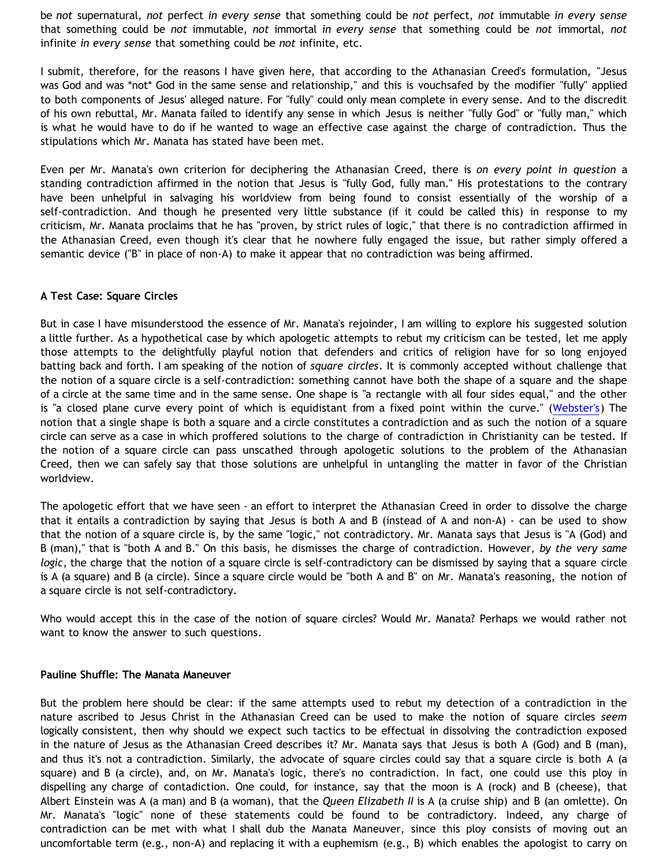be *not* supernatural, *not* perfect *in every sense* that something could be *not* perfect, *not* immutable *in every sense* that something could be *not* immutable, *not* immortal *in every sense* that something could be *not* immortal, *not* infinite *in every sense* that something could be *not* infinite, etc.

I submit, therefore, for the reasons I have given here, that according to the Athanasian Creed's formulation, "Jesus was God and was \*not\* God in the same sense and relationship," and this is vouchsafed by the modifier "fully" applied to both components of Jesus' alleged nature. For "fully" could only mean complete in every sense. And to the discredit of his own rebuttal, Mr. Manata failed to identify any sense in which Jesus is neither "fully God" or "fully man," which is what he would have to do if he wanted to wage an effective case against the charge of contradiction. Thus the stipulations which Mr. Manata has stated have been met.

Even per Mr. Manata's own criterion for deciphering the Athanasian Creed, there is *on every point in question* a standing contradiction affirmed in the notion that Jesus is "fully God, fully man." His protestations to the contrary have been unhelpful in salvaging his worldview from being found to consist essentially of the worship of a self-contradiction. And though he presented very little substance (if it could be called this) in response to my criticism, Mr. Manata proclaims that he has "proven, by strict rules of logic," that there is no contradiction affirmed in the Athanasian Creed, even though it's clear that he nowhere fully engaged the issue, but rather simply offered a semantic device ("B" in place of non-A) to make it appear that no contradiction was being affirmed.

#### **A Test Case: Square Circles**

But in case I have misunderstood the essence of Mr. Manata's rejoinder, I am willing to explore his suggested solution a little further. As a hypothetical case by which apologetic attempts to rebut my criticism can be tested, let me apply those attempts to the delightfully playful notion that defenders and critics of religion have for so long enjoyed batting back and forth. I am speaking of the notion of *square circles*. It is commonly accepted without challenge that the notion of a square circle is a self-contradiction: something cannot have both the shape of a square and the shape of a circle at the same time and in the same sense. One shape is "a rectangle with all four sides equal," and the other is "a closed plane curve every point of which is equidistant from a fixed point within the curve." [\(Webster's\)](http://www.m-w.com/) The notion that a single shape is both a square and a circle constitutes a contradiction and as such the notion of a square circle can serve as a case in which proffered solutions to the charge of contradiction in Christianity can be tested. If the notion of a square circle can pass unscathed through apologetic solutions to the problem of the Athanasian Creed, then we can safely say that those solutions are unhelpful in untangling the matter in favor of the Christian worldview.

The apologetic effort that we have seen - an effort to interpret the Athanasian Creed in order to dissolve the charge that it entails a contradiction by saying that Jesus is both A and B (instead of A and non-A) - can be used to show that the notion of a square circle is, by the same "logic," not contradictory. Mr. Manata says that Jesus is "A (God) and B (man)," that is "both A and B." On this basis, he dismisses the charge of contradiction. However, *by the very same logic*, the charge that the notion of a square circle is self-contradictory can be dismissed by saying that a square circle is A (a square) and B (a circle). Since a square circle would be "both A and B" on Mr. Manata's reasoning, the notion of a square circle is not self-contradictory.

Who would accept this in the case of the notion of square circles? Would Mr. Manata? Perhaps we would rather not want to know the answer to such questions.

#### **Pauline Shuffle: The Manata Maneuver**

But the problem here should be clear: if the same attempts used to rebut my detection of a contradiction in the nature ascribed to Jesus Christ in the Athanasian Creed can be used to make the notion of square circles *seem* logically consistent, then why should we expect such tactics to be effectual in dissolving the contradiction exposed in the nature of Jesus as the Athanasian Creed describes it? Mr. Manata says that Jesus is both A (God) and B (man), and thus it's not a contradiction. Similarly, the advocate of square circles could say that a square circle is both A (a square) and B (a circle), and, on Mr. Manata's logic, there's no contradiction. In fact, one could use this ploy in dispelling any charge of contadiction. One could, for instance, say that the moon is A (rock) and B (cheese), that Albert Einstein was A (a man) and B (a woman), that the *Queen Elizabeth II* is A (a cruise ship) and B (an omlette). On Mr. Manata's "logic" none of these statements could be found to be contradictory. Indeed, any charge of contradiction can be met with what I shall dub the Manata Maneuver, since this ploy consists of moving out an uncomfortable term (e.g., non-A) and replacing it with a euphemism (e.g., B) which enables the apologist to carry on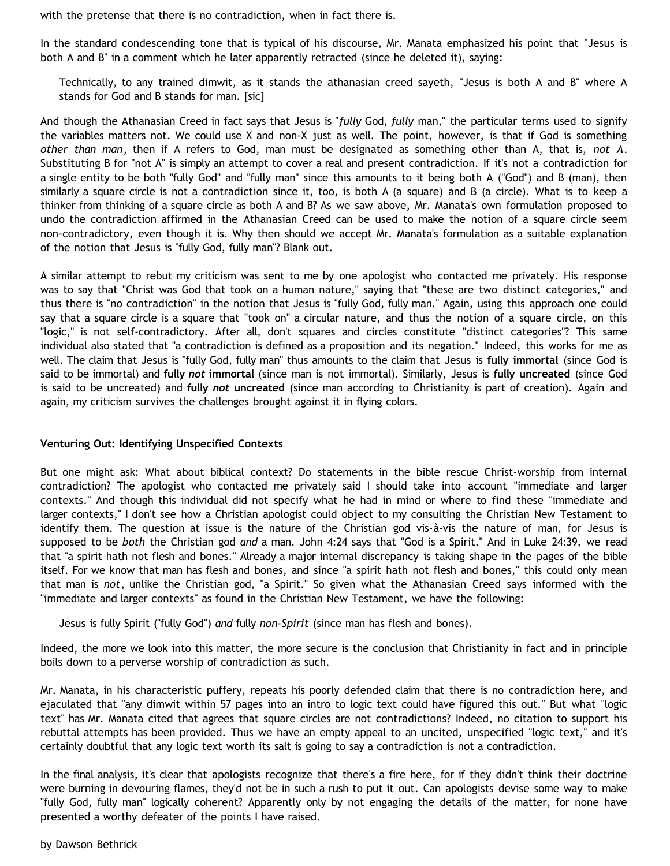with the pretense that there is no contradiction, when in fact there is.

In the standard condescending tone that is typical of his discourse, Mr. Manata emphasized his point that "Jesus is both A and B" in a comment which he later apparently retracted (since he deleted it), saying:

Technically, to any trained dimwit, as it stands the athanasian creed sayeth, "Jesus is both A and B" where A stands for God and B stands for man. [sic]

And though the Athanasian Creed in fact says that Jesus is "*fully* God, *fully* man," the particular terms used to signify the variables matters not. We could use X and non-X just as well. The point, however, is that if God is something *other than man*, then if A refers to God, man must be designated as something other than A, that is, *not A*. Substituting B for "not A" is simply an attempt to cover a real and present contradiction. If it's not a contradiction for a single entity to be both "fully God" and "fully man" since this amounts to it being both A ("God") and B (man), then similarly a square circle is not a contradiction since it, too, is both A (a square) and B (a circle). What is to keep a thinker from thinking of a square circle as both A and B? As we saw above, Mr. Manata's own formulation proposed to undo the contradiction affirmed in the Athanasian Creed can be used to make the notion of a square circle seem non-contradictory, even though it is. Why then should we accept Mr. Manata's formulation as a suitable explanation of the notion that Jesus is "fully God, fully man"? Blank out.

A similar attempt to rebut my criticism was sent to me by one apologist who contacted me privately. His response was to say that "Christ was God that took on a human nature," saying that "these are two distinct categories," and thus there is "no contradiction" in the notion that Jesus is "fully God, fully man." Again, using this approach one could say that a square circle is a square that "took on" a circular nature, and thus the notion of a square circle, on this "logic," is not self-contradictory. After all, don't squares and circles constitute "distinct categories"? This same individual also stated that "a contradiction is defined as a proposition and its negation." Indeed, this works for me as well. The claim that Jesus is "fully God, fully man" thus amounts to the claim that Jesus is **fully immortal** (since God is said to be immortal) and **fully** *not* **immortal** (since man is not immortal). Similarly, Jesus is **fully uncreated** (since God is said to be uncreated) and **fully** *not* **uncreated** (since man according to Christianity is part of creation). Again and again, my criticism survives the challenges brought against it in flying colors.

#### **Venturing Out: Identifying Unspecified Contexts**

But one might ask: What about biblical context? Do statements in the bible rescue Christ-worship from internal contradiction? The apologist who contacted me privately said I should take into account "immediate and larger contexts." And though this individual did not specify what he had in mind or where to find these "immediate and larger contexts," I don't see how a Christian apologist could object to my consulting the Christian New Testament to identify them. The question at issue is the nature of the Christian god vis-à-vis the nature of man, for Jesus is supposed to be *both* the Christian god *and* a man. John 4:24 says that "God is a Spirit." And in Luke 24:39, we read that "a spirit hath not flesh and bones." Already a major internal discrepancy is taking shape in the pages of the bible itself. For we know that man has flesh and bones, and since "a spirit hath not flesh and bones," this could only mean that man is *not*, unlike the Christian god, "a Spirit." So given what the Athanasian Creed says informed with the "immediate and larger contexts" as found in the Christian New Testament, we have the following:

Jesus is fully Spirit ("fully God") *and* fully *non-Spirit* (since man has flesh and bones).

Indeed, the more we look into this matter, the more secure is the conclusion that Christianity in fact and in principle boils down to a perverse worship of contradiction as such.

Mr. Manata, in his characteristic puffery, repeats his poorly defended claim that there is no contradiction here, and ejaculated that "any dimwit within 57 pages into an intro to logic text could have figured this out." But what "logic text" has Mr. Manata cited that agrees that square circles are not contradictions? Indeed, no citation to support his rebuttal attempts has been provided. Thus we have an empty appeal to an uncited, unspecified "logic text," and it's certainly doubtful that any logic text worth its salt is going to say a contradiction is not a contradiction.

In the final analysis, it's clear that apologists recognize that there's a fire here, for if they didn't think their doctrine were burning in devouring flames, they'd not be in such a rush to put it out. Can apologists devise some way to make "fully God, fully man" logically coherent? Apparently only by not engaging the details of the matter, for none have presented a worthy defeater of the points I have raised.

by Dawson Bethrick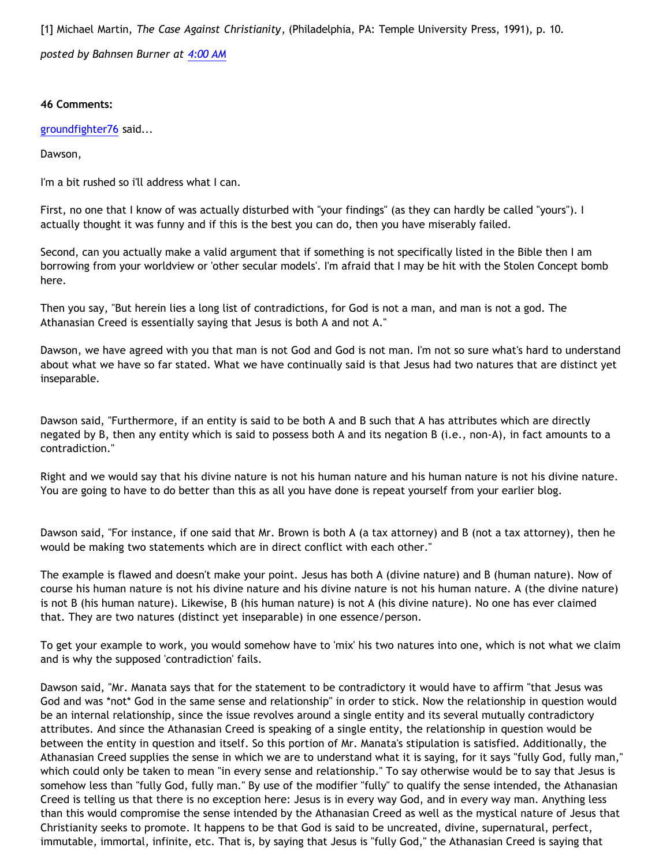[1] Michael Martin, *The Case Against Christianity*, (Philadelphia, PA: Temple University Press, 1991), p. 10. *posted by Bahnsen Burner at [4:00 AM](http://bahnsenburner.blogspot.com/2005/08/christ-jesus-still-jumble-of.html)*

### **46 Comments:**

[groundfighter76](http://www.blogger.com/profile/8210797) said...

Dawson,

I'm a bit rushed so i'll address what I can.

First, no one that I know of was actually disturbed with "your findings" (as they can hardly be called "yours"). I actually thought it was funny and if this is the best you can do, then you have miserably failed.

Second, can you actually make a valid argument that if something is not specifically listed in the Bible then I am borrowing from your worldview or 'other secular models'. I'm afraid that I may be hit with the Stolen Concept bomb here.

Then you say, "But herein lies a long list of contradictions, for God is not a man, and man is not a god. The Athanasian Creed is essentially saying that Jesus is both A and not A."

Dawson, we have agreed with you that man is not God and God is not man. I'm not so sure what's hard to understand about what we have so far stated. What we have continually said is that Jesus had two natures that are distinct yet inseparable.

Dawson said, "Furthermore, if an entity is said to be both A and B such that A has attributes which are directly negated by B, then any entity which is said to possess both A and its negation B (i.e., non-A), in fact amounts to a contradiction."

Right and we would say that his divine nature is not his human nature and his human nature is not his divine nature. You are going to have to do better than this as all you have done is repeat yourself from your earlier blog.

Dawson said, "For instance, if one said that Mr. Brown is both A (a tax attorney) and B (not a tax attorney), then he would be making two statements which are in direct conflict with each other."

The example is flawed and doesn't make your point. Jesus has both A (divine nature) and B (human nature). Now of course his human nature is not his divine nature and his divine nature is not his human nature. A (the divine nature) is not B (his human nature). Likewise, B (his human nature) is not A (his divine nature). No one has ever claimed that. They are two natures (distinct yet inseparable) in one essence/person.

To get your example to work, you would somehow have to 'mix' his two natures into one, which is not what we claim and is why the supposed 'contradiction' fails.

Dawson said, "Mr. Manata says that for the statement to be contradictory it would have to affirm "that Jesus was God and was \*not\* God in the same sense and relationship" in order to stick. Now the relationship in question would be an internal relationship, since the issue revolves around a single entity and its several mutually contradictory attributes. And since the Athanasian Creed is speaking of a single entity, the relationship in question would be between the entity in question and itself. So this portion of Mr. Manata's stipulation is satisfied. Additionally, the Athanasian Creed supplies the sense in which we are to understand what it is saying, for it says "fully God, fully man," which could only be taken to mean "in every sense and relationship." To say otherwise would be to say that Jesus is somehow less than "fully God, fully man." By use of the modifier "fully" to qualify the sense intended, the Athanasian Creed is telling us that there is no exception here: Jesus is in every way God, and in every way man. Anything less than this would compromise the sense intended by the Athanasian Creed as well as the mystical nature of Jesus that Christianity seeks to promote. It happens to be that God is said to be uncreated, divine, supernatural, perfect, immutable, immortal, infinite, etc. That is, by saying that Jesus is "fully God," the Athanasian Creed is saying that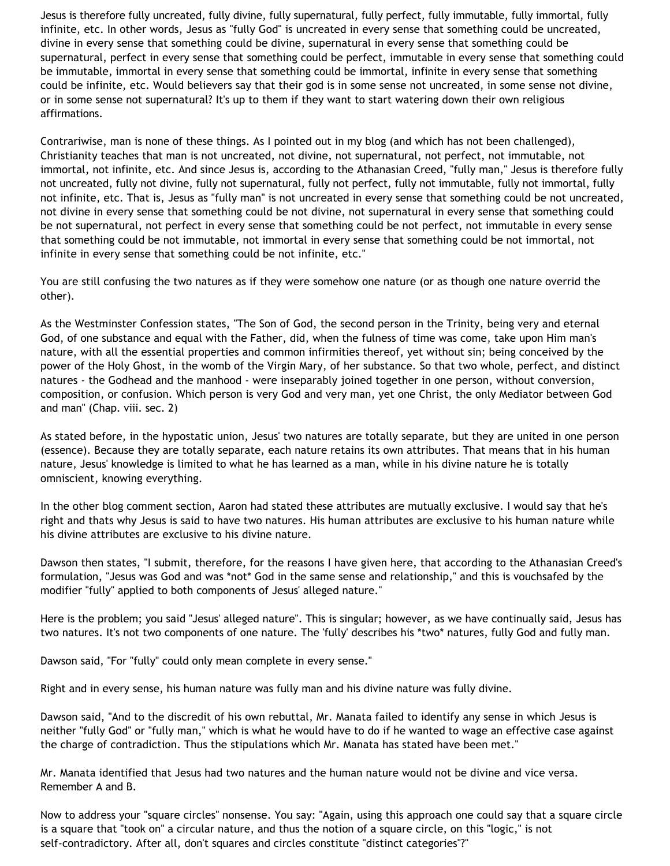Jesus is therefore fully uncreated, fully divine, fully supernatural, fully perfect, fully immutable, fully immortal, fully infinite, etc. In other words, Jesus as "fully God" is uncreated in every sense that something could be uncreated, divine in every sense that something could be divine, supernatural in every sense that something could be supernatural, perfect in every sense that something could be perfect, immutable in every sense that something could be immutable, immortal in every sense that something could be immortal, infinite in every sense that something could be infinite, etc. Would believers say that their god is in some sense not uncreated, in some sense not divine, or in some sense not supernatural? It's up to them if they want to start watering down their own religious affirmations.

Contrariwise, man is none of these things. As I pointed out in my blog (and which has not been challenged), Christianity teaches that man is not uncreated, not divine, not supernatural, not perfect, not immutable, not immortal, not infinite, etc. And since Jesus is, according to the Athanasian Creed, "fully man," Jesus is therefore fully not uncreated, fully not divine, fully not supernatural, fully not perfect, fully not immutable, fully not immortal, fully not infinite, etc. That is, Jesus as "fully man" is not uncreated in every sense that something could be not uncreated, not divine in every sense that something could be not divine, not supernatural in every sense that something could be not supernatural, not perfect in every sense that something could be not perfect, not immutable in every sense that something could be not immutable, not immortal in every sense that something could be not immortal, not infinite in every sense that something could be not infinite, etc."

You are still confusing the two natures as if they were somehow one nature (or as though one nature overrid the other).

As the Westminster Confession states, "The Son of God, the second person in the Trinity, being very and eternal God, of one substance and equal with the Father, did, when the fulness of time was come, take upon Him man's nature, with all the essential properties and common infirmities thereof, yet without sin; being conceived by the power of the Holy Ghost, in the womb of the Virgin Mary, of her substance. So that two whole, perfect, and distinct natures - the Godhead and the manhood - were inseparably joined together in one person, without conversion, composition, or confusion. Which person is very God and very man, yet one Christ, the only Mediator between God and man" (Chap. viii. sec. 2)

As stated before, in the hypostatic union, Jesus' two natures are totally separate, but they are united in one person (essence). Because they are totally separate, each nature retains its own attributes. That means that in his human nature, Jesus' knowledge is limited to what he has learned as a man, while in his divine nature he is totally omniscient, knowing everything.

In the other blog comment section, Aaron had stated these attributes are mutually exclusive. I would say that he's right and thats why Jesus is said to have two natures. His human attributes are exclusive to his human nature while his divine attributes are exclusive to his divine nature.

Dawson then states, "I submit, therefore, for the reasons I have given here, that according to the Athanasian Creed's formulation, "Jesus was God and was \*not\* God in the same sense and relationship," and this is vouchsafed by the modifier "fully" applied to both components of Jesus' alleged nature."

Here is the problem; you said "Jesus' alleged nature". This is singular; however, as we have continually said, Jesus has two natures. It's not two components of one nature. The 'fully' describes his \*two\* natures, fully God and fully man.

Dawson said, "For "fully" could only mean complete in every sense."

Right and in every sense, his human nature was fully man and his divine nature was fully divine.

Dawson said, "And to the discredit of his own rebuttal, Mr. Manata failed to identify any sense in which Jesus is neither "fully God" or "fully man," which is what he would have to do if he wanted to wage an effective case against the charge of contradiction. Thus the stipulations which Mr. Manata has stated have been met."

Mr. Manata identified that Jesus had two natures and the human nature would not be divine and vice versa. Remember A and B.

Now to address your "square circles" nonsense. You say: "Again, using this approach one could say that a square circle is a square that "took on" a circular nature, and thus the notion of a square circle, on this "logic," is not self-contradictory. After all, don't squares and circles constitute "distinct categories"?"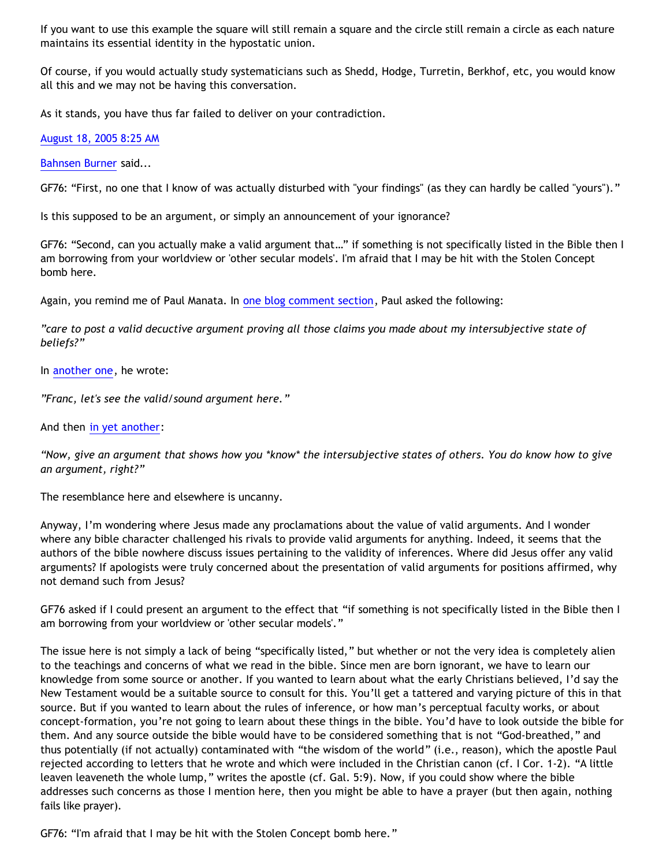If you want to use this example the square will still remain a square and the circle still remain a circle as each nature maintains its essential identity in the hypostatic union.

Of course, if you would actually study systematicians such as Shedd, Hodge, Turretin, Berkhof, etc, you would know all this and we may not be having this conversation.

As it stands, you have thus far failed to deliver on your contradiction.

[August 18, 2005 8:25 AM](http://bahnsenburner.blogspot.com/2005/08/112437873837013625)

[Bahnsen Burner](http://www.blogger.com/profile/7766918) said...

GF76: "First, no one that I know of was actually disturbed with "your findings" (as they can hardly be called "yours")."

Is this supposed to be an argument, or simply an announcement of your ignorance?

GF76: "Second, can you actually make a valid argument that…" if something is not specifically listed in the Bible then I am borrowing from your worldview or 'other secular models'. I'm afraid that I may be hit with the Stolen Concept bomb here.

Again, you remind me of Paul Manata. In [one blog comment section](http://goosetheantithesis.blogspot.com/2005/08/pauls-hyperbole.html), Paul asked the following:

*"care to post a valid decuctive argument proving all those claims you made about my intersubjective state of beliefs?"*

In [another one](http://goosetheantithesis.blogspot.com/2005/07/jesus-says-no-to-life.html), he wrote:

*"Franc, let's see the valid/sound argument here."*

And then [in yet another:](http://www.blogger.com/comment.g?blogID=11397797&postID=112430879275352999)

*"Now, give an argument that shows how you \*know\* the intersubjective states of others. You do know how to give an argument, right?"*

The resemblance here and elsewhere is uncanny.

Anyway, I'm wondering where Jesus made any proclamations about the value of valid arguments. And I wonder where any bible character challenged his rivals to provide valid arguments for anything. Indeed, it seems that the authors of the bible nowhere discuss issues pertaining to the validity of inferences. Where did Jesus offer any valid arguments? If apologists were truly concerned about the presentation of valid arguments for positions affirmed, why not demand such from Jesus?

GF76 asked if I could present an argument to the effect that "if something is not specifically listed in the Bible then I am borrowing from your worldview or 'other secular models'."

The issue here is not simply a lack of being "specifically listed," but whether or not the very idea is completely alien to the teachings and concerns of what we read in the bible. Since men are born ignorant, we have to learn our knowledge from some source or another. If you wanted to learn about what the early Christians believed, I'd say the New Testament would be a suitable source to consult for this. You'll get a tattered and varying picture of this in that source. But if you wanted to learn about the rules of inference, or how man's perceptual faculty works, or about concept-formation, you're not going to learn about these things in the bible. You'd have to look outside the bible for them. And any source outside the bible would have to be considered something that is not "God-breathed," and thus potentially (if not actually) contaminated with "the wisdom of the world" (i.e., reason), which the apostle Paul rejected according to letters that he wrote and which were included in the Christian canon (cf. I Cor. 1-2). "A little leaven leaveneth the whole lump," writes the apostle (cf. Gal. 5:9). Now, if you could show where the bible addresses such concerns as those I mention here, then you might be able to have a prayer (but then again, nothing fails like prayer).

GF76: "I'm afraid that I may be hit with the Stolen Concept bomb here."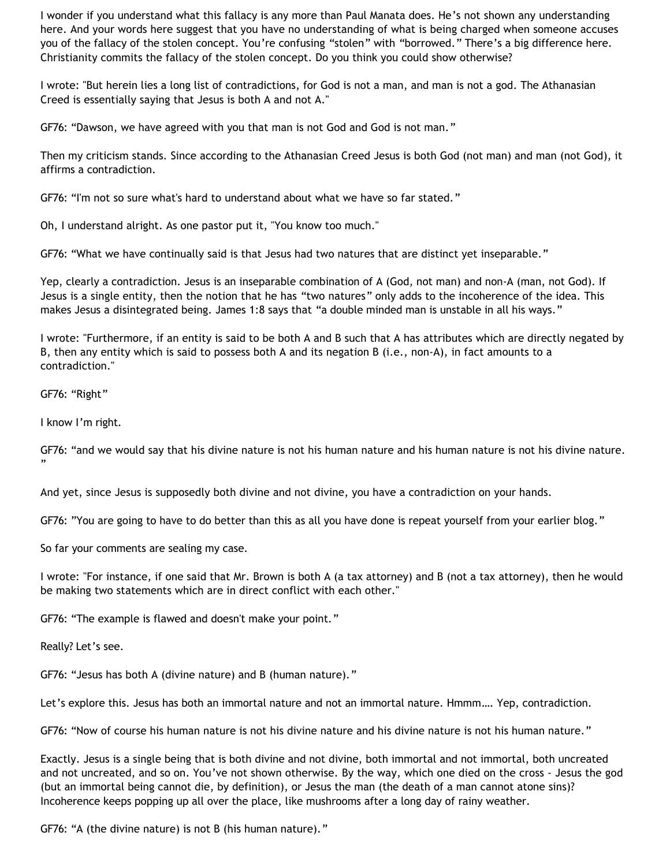I wonder if you understand what this fallacy is any more than Paul Manata does. He's not shown any understanding here. And your words here suggest that you have no understanding of what is being charged when someone accuses you of the fallacy of the stolen concept. You're confusing "stolen" with "borrowed." There's a big difference here. Christianity commits the fallacy of the stolen concept. Do you think you could show otherwise?

I wrote: "But herein lies a long list of contradictions, for God is not a man, and man is not a god. The Athanasian Creed is essentially saying that Jesus is both A and not A."

GF76: "Dawson, we have agreed with you that man is not God and God is not man."

Then my criticism stands. Since according to the Athanasian Creed Jesus is both God (not man) and man (not God), it affirms a contradiction.

GF76: "I'm not so sure what's hard to understand about what we have so far stated."

Oh, I understand alright. As one pastor put it, "You know too much."

GF76: "What we have continually said is that Jesus had two natures that are distinct yet inseparable."

Yep, clearly a contradiction. Jesus is an inseparable combination of A (God, not man) and non-A (man, not God). If Jesus is a single entity, then the notion that he has "two natures" only adds to the incoherence of the idea. This makes Jesus a disintegrated being. James 1:8 says that "a double minded man is unstable in all his ways."

I wrote: "Furthermore, if an entity is said to be both A and B such that A has attributes which are directly negated by B, then any entity which is said to possess both A and its negation B (i.e., non-A), in fact amounts to a contradiction."

GF76: "Right"

I know I'm right.

GF76: "and we would say that his divine nature is not his human nature and his human nature is not his divine nature. "

And yet, since Jesus is supposedly both divine and not divine, you have a contradiction on your hands.

GF76: "You are going to have to do better than this as all you have done is repeat yourself from your earlier blog."

So far your comments are sealing my case.

I wrote: "For instance, if one said that Mr. Brown is both A (a tax attorney) and B (not a tax attorney), then he would be making two statements which are in direct conflict with each other."

GF76: "The example is flawed and doesn't make your point."

Really? Let's see.

GF76: "Jesus has both A (divine nature) and B (human nature)."

Let's explore this. Jesus has both an immortal nature and not an immortal nature. Hmmm…. Yep, contradiction.

GF76: "Now of course his human nature is not his divine nature and his divine nature is not his human nature."

Exactly. Jesus is a single being that is both divine and not divine, both immortal and not immortal, both uncreated and not uncreated, and so on. You've not shown otherwise. By the way, which one died on the cross - Jesus the god (but an immortal being cannot die, by definition), or Jesus the man (the death of a man cannot atone sins)? Incoherence keeps popping up all over the place, like mushrooms after a long day of rainy weather.

GF76: "A (the divine nature) is not B (his human nature)."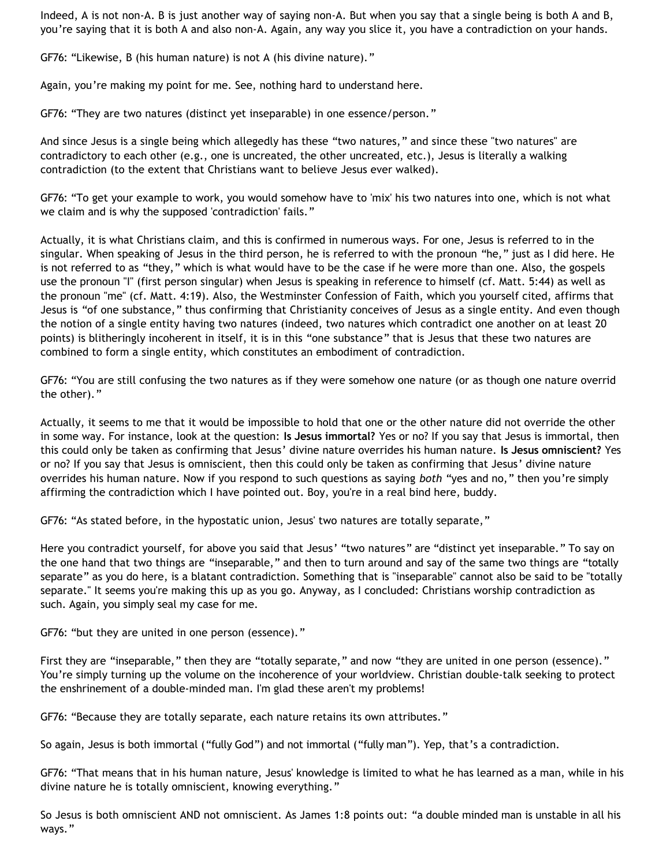Indeed, A is not non-A. B is just another way of saying non-A. But when you say that a single being is both A and B, you're saying that it is both A and also non-A. Again, any way you slice it, you have a contradiction on your hands.

GF76: "Likewise, B (his human nature) is not A (his divine nature)."

Again, you're making my point for me. See, nothing hard to understand here.

GF76: "They are two natures (distinct yet inseparable) in one essence/person."

And since Jesus is a single being which allegedly has these "two natures," and since these "two natures" are contradictory to each other (e.g., one is uncreated, the other uncreated, etc.), Jesus is literally a walking contradiction (to the extent that Christians want to believe Jesus ever walked).

GF76: "To get your example to work, you would somehow have to 'mix' his two natures into one, which is not what we claim and is why the supposed 'contradiction' fails."

Actually, it is what Christians claim, and this is confirmed in numerous ways. For one, Jesus is referred to in the singular. When speaking of Jesus in the third person, he is referred to with the pronoun "he," just as I did here. He is not referred to as "they," which is what would have to be the case if he were more than one. Also, the gospels use the pronoun "I" (first person singular) when Jesus is speaking in reference to himself (cf. Matt. 5:44) as well as the pronoun "me" (cf. Matt. 4:19). Also, the Westminster Confession of Faith, which you yourself cited, affirms that Jesus is "of one substance," thus confirming that Christianity conceives of Jesus as a single entity. And even though the notion of a single entity having two natures (indeed, two natures which contradict one another on at least 20 points) is blitheringly incoherent in itself, it is in this "one substance" that is Jesus that these two natures are combined to form a single entity, which constitutes an embodiment of contradiction.

GF76: "You are still confusing the two natures as if they were somehow one nature (or as though one nature overrid the other)."

Actually, it seems to me that it would be impossible to hold that one or the other nature did not override the other in some way. For instance, look at the question: **Is Jesus immortal?** Yes or no? If you say that Jesus is immortal, then this could only be taken as confirming that Jesus' divine nature overrides his human nature. **Is Jesus omniscient?** Yes or no? If you say that Jesus is omniscient, then this could only be taken as confirming that Jesus' divine nature overrides his human nature. Now if you respond to such questions as saying *both* "yes and no," then you're simply affirming the contradiction which I have pointed out. Boy, you're in a real bind here, buddy.

GF76: "As stated before, in the hypostatic union, Jesus' two natures are totally separate,"

Here you contradict yourself, for above you said that Jesus' "two natures" are "distinct yet inseparable." To say on the one hand that two things are "inseparable," and then to turn around and say of the same two things are "totally separate" as you do here, is a blatant contradiction. Something that is "inseparable" cannot also be said to be "totally separate." It seems you're making this up as you go. Anyway, as I concluded: Christians worship contradiction as such. Again, you simply seal my case for me.

GF76: "but they are united in one person (essence)."

First they are "inseparable," then they are "totally separate," and now "they are united in one person (essence)." You're simply turning up the volume on the incoherence of your worldview. Christian double-talk seeking to protect the enshrinement of a double-minded man. I'm glad these aren't my problems!

GF76: "Because they are totally separate, each nature retains its own attributes."

So again, Jesus is both immortal ("fully God") and not immortal ("fully man"). Yep, that's a contradiction.

GF76: "That means that in his human nature, Jesus' knowledge is limited to what he has learned as a man, while in his divine nature he is totally omniscient, knowing everything."

So Jesus is both omniscient AND not omniscient. As James 1:8 points out: "a double minded man is unstable in all his ways."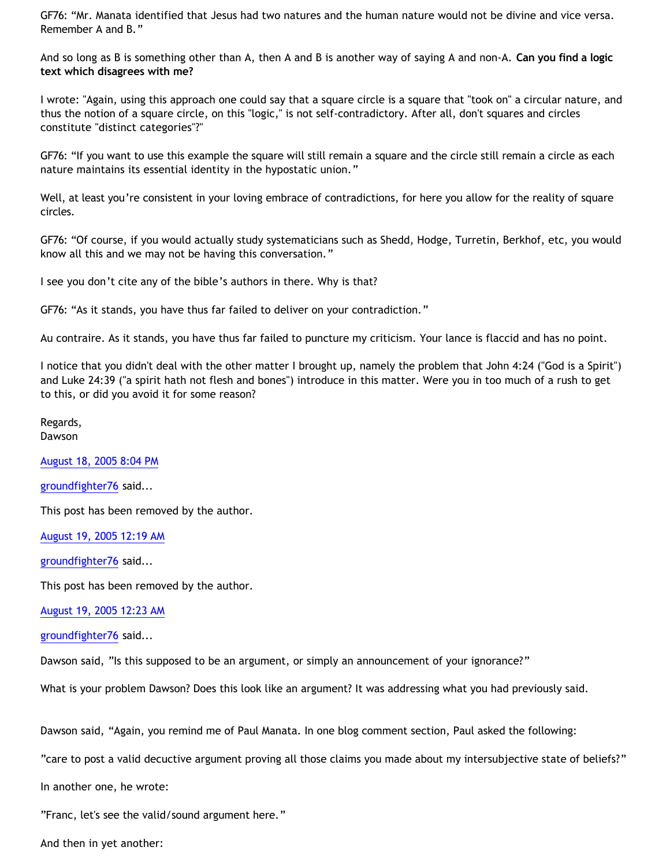GF76: "Mr. Manata identified that Jesus had two natures and the human nature would not be divine and vice versa. Remember A and B."

And so long as B is something other than A, then A and B is another way of saying A and non-A. **Can you find a logic text which disagrees with me?**

I wrote: "Again, using this approach one could say that a square circle is a square that "took on" a circular nature, and thus the notion of a square circle, on this "logic," is not self-contradictory. After all, don't squares and circles constitute "distinct categories"?"

GF76: "If you want to use this example the square will still remain a square and the circle still remain a circle as each nature maintains its essential identity in the hypostatic union."

Well, at least you're consistent in your loving embrace of contradictions, for here you allow for the reality of square circles.

GF76: "Of course, if you would actually study systematicians such as Shedd, Hodge, Turretin, Berkhof, etc, you would know all this and we may not be having this conversation."

I see you don't cite any of the bible's authors in there. Why is that?

GF76: "As it stands, you have thus far failed to deliver on your contradiction."

Au contraire. As it stands, you have thus far failed to puncture my criticism. Your lance is flaccid and has no point.

I notice that you didn't deal with the other matter I brought up, namely the problem that John 4:24 ("God is a Spirit") and Luke 24:39 ("a spirit hath not flesh and bones") introduce in this matter. Were you in too much of a rush to get to this, or did you avoid it for some reason?

Regards, Dawson

[August 18, 2005 8:04 PM](http://bahnsenburner.blogspot.com/2005/08/112442066195817591)

[groundfighter76](http://www.blogger.com/profile/8210797) said...

This post has been removed by the author.

[August 19, 2005 12:19 AM](http://bahnsenburner.blogspot.com/2005/08/112443596871917507)

[groundfighter76](http://www.blogger.com/profile/8210797) said...

This post has been removed by the author.

[August 19, 2005 12:23 AM](http://bahnsenburner.blogspot.com/2005/08/112443619369073588)

[groundfighter76](http://www.blogger.com/profile/8210797) said...

Dawson said, "Is this supposed to be an argument, or simply an announcement of your ignorance?"

What is your problem Dawson? Does this look like an argument? It was addressing what you had previously said.

Dawson said, "Again, you remind me of Paul Manata. In one blog comment section, Paul asked the following:

"care to post a valid decuctive argument proving all those claims you made about my intersubjective state of beliefs?"

In another one, he wrote:

"Franc, let's see the valid/sound argument here."

And then in yet another: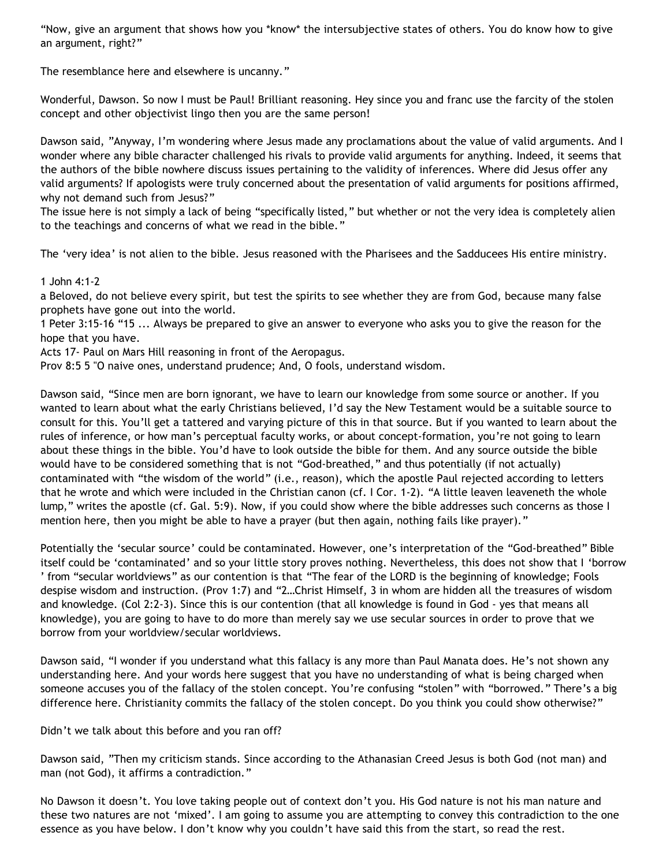"Now, give an argument that shows how you \*know\* the intersubjective states of others. You do know how to give an argument, right?"

The resemblance here and elsewhere is uncanny."

Wonderful, Dawson. So now I must be Paul! Brilliant reasoning. Hey since you and franc use the farcity of the stolen concept and other objectivist lingo then you are the same person!

Dawson said, "Anyway, I'm wondering where Jesus made any proclamations about the value of valid arguments. And I wonder where any bible character challenged his rivals to provide valid arguments for anything. Indeed, it seems that the authors of the bible nowhere discuss issues pertaining to the validity of inferences. Where did Jesus offer any valid arguments? If apologists were truly concerned about the presentation of valid arguments for positions affirmed, why not demand such from Jesus?"

The issue here is not simply a lack of being "specifically listed," but whether or not the very idea is completely alien to the teachings and concerns of what we read in the bible."

The 'very idea' is not alien to the bible. Jesus reasoned with the Pharisees and the Sadducees His entire ministry.

1 John 4:1-2

a Beloved, do not believe every spirit, but test the spirits to see whether they are from God, because many false prophets have gone out into the world.

1 Peter 3:15-16 "15 ... Always be prepared to give an answer to everyone who asks you to give the reason for the hope that you have.

Acts 17- Paul on Mars Hill reasoning in front of the Aeropagus.

Prov 8:5 5 "O naive ones, understand prudence; And, O fools, understand wisdom.

Dawson said, "Since men are born ignorant, we have to learn our knowledge from some source or another. If you wanted to learn about what the early Christians believed, I'd say the New Testament would be a suitable source to consult for this. You'll get a tattered and varying picture of this in that source. But if you wanted to learn about the rules of inference, or how man's perceptual faculty works, or about concept-formation, you're not going to learn about these things in the bible. You'd have to look outside the bible for them. And any source outside the bible would have to be considered something that is not "God-breathed," and thus potentially (if not actually) contaminated with "the wisdom of the world" (i.e., reason), which the apostle Paul rejected according to letters that he wrote and which were included in the Christian canon (cf. I Cor. 1-2). "A little leaven leaveneth the whole lump," writes the apostle (cf. Gal. 5:9). Now, if you could show where the bible addresses such concerns as those I mention here, then you might be able to have a prayer (but then again, nothing fails like prayer)."

Potentially the 'secular source' could be contaminated. However, one's interpretation of the "God-breathed" Bible itself could be 'contaminated' and so your little story proves nothing. Nevertheless, this does not show that I 'borrow ' from "secular worldviews" as our contention is that "The fear of the LORD is the beginning of knowledge; Fools despise wisdom and instruction. (Prov 1:7) and "2…Christ Himself, 3 in whom are hidden all the treasures of wisdom and knowledge. (Col 2:2-3). Since this is our contention (that all knowledge is found in God - yes that means all knowledge), you are going to have to do more than merely say we use secular sources in order to prove that we borrow from your worldview/secular worldviews.

Dawson said, "I wonder if you understand what this fallacy is any more than Paul Manata does. He's not shown any understanding here. And your words here suggest that you have no understanding of what is being charged when someone accuses you of the fallacy of the stolen concept. You're confusing "stolen" with "borrowed." There's a big difference here. Christianity commits the fallacy of the stolen concept. Do you think you could show otherwise?"

Didn't we talk about this before and you ran off?

Dawson said, "Then my criticism stands. Since according to the Athanasian Creed Jesus is both God (not man) and man (not God), it affirms a contradiction."

No Dawson it doesn't. You love taking people out of context don't you. His God nature is not his man nature and these two natures are not 'mixed'. I am going to assume you are attempting to convey this contradiction to the one essence as you have below. I don't know why you couldn't have said this from the start, so read the rest.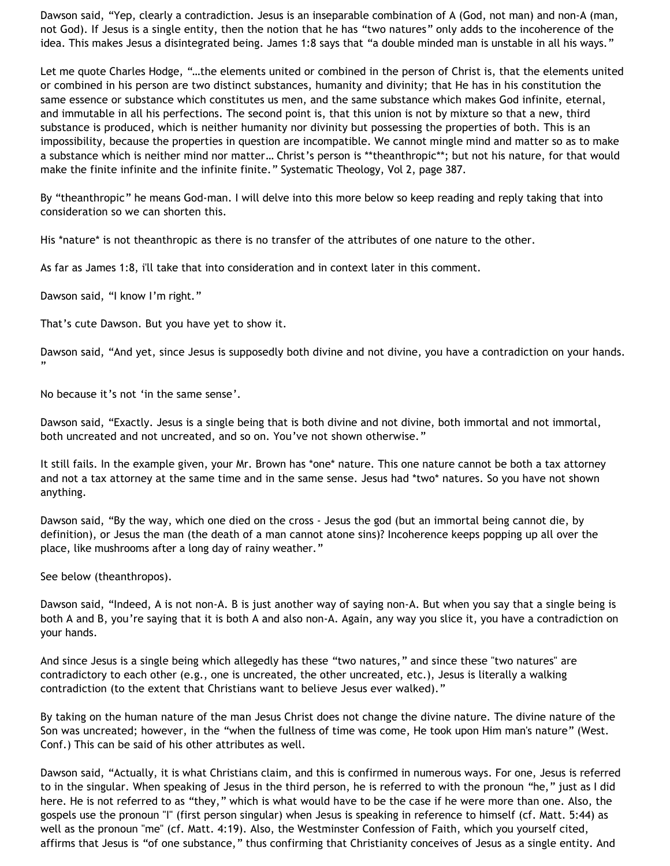Dawson said, "Yep, clearly a contradiction. Jesus is an inseparable combination of A (God, not man) and non-A (man, not God). If Jesus is a single entity, then the notion that he has "two natures" only adds to the incoherence of the idea. This makes Jesus a disintegrated being. James 1:8 says that "a double minded man is unstable in all his ways."

Let me quote Charles Hodge, "…the elements united or combined in the person of Christ is, that the elements united or combined in his person are two distinct substances, humanity and divinity; that He has in his constitution the same essence or substance which constitutes us men, and the same substance which makes God infinite, eternal, and immutable in all his perfections. The second point is, that this union is not by mixture so that a new, third substance is produced, which is neither humanity nor divinity but possessing the properties of both. This is an impossibility, because the properties in question are incompatible. We cannot mingle mind and matter so as to make a substance which is neither mind nor matter… Christ's person is \*\*theanthropic\*\*; but not his nature, for that would make the finite infinite and the infinite finite." Systematic Theology, Vol 2, page 387.

By "theanthropic" he means God-man. I will delve into this more below so keep reading and reply taking that into consideration so we can shorten this.

His \*nature\* is not theanthropic as there is no transfer of the attributes of one nature to the other.

As far as James 1:8, i'll take that into consideration and in context later in this comment.

Dawson said, "I know I'm right."

That's cute Dawson. But you have yet to show it.

Dawson said, "And yet, since Jesus is supposedly both divine and not divine, you have a contradiction on your hands. "

No because it's not 'in the same sense'.

Dawson said, "Exactly. Jesus is a single being that is both divine and not divine, both immortal and not immortal, both uncreated and not uncreated, and so on. You've not shown otherwise."

It still fails. In the example given, your Mr. Brown has \*one\* nature. This one nature cannot be both a tax attorney and not a tax attorney at the same time and in the same sense. Jesus had \*two\* natures. So you have not shown anything.

Dawson said, "By the way, which one died on the cross - Jesus the god (but an immortal being cannot die, by definition), or Jesus the man (the death of a man cannot atone sins)? Incoherence keeps popping up all over the place, like mushrooms after a long day of rainy weather."

See below (theanthropos).

Dawson said, "Indeed, A is not non-A. B is just another way of saying non-A. But when you say that a single being is both A and B, you're saying that it is both A and also non-A. Again, any way you slice it, you have a contradiction on your hands.

And since Jesus is a single being which allegedly has these "two natures," and since these "two natures" are contradictory to each other (e.g., one is uncreated, the other uncreated, etc.), Jesus is literally a walking contradiction (to the extent that Christians want to believe Jesus ever walked)."

By taking on the human nature of the man Jesus Christ does not change the divine nature. The divine nature of the Son was uncreated; however, in the "when the fullness of time was come, He took upon Him man's nature" (West. Conf.) This can be said of his other attributes as well.

Dawson said, "Actually, it is what Christians claim, and this is confirmed in numerous ways. For one, Jesus is referred to in the singular. When speaking of Jesus in the third person, he is referred to with the pronoun "he," just as I did here. He is not referred to as "they," which is what would have to be the case if he were more than one. Also, the gospels use the pronoun "I" (first person singular) when Jesus is speaking in reference to himself (cf. Matt. 5:44) as well as the pronoun "me" (cf. Matt. 4:19). Also, the Westminster Confession of Faith, which you yourself cited, affirms that Jesus is "of one substance," thus confirming that Christianity conceives of Jesus as a single entity. And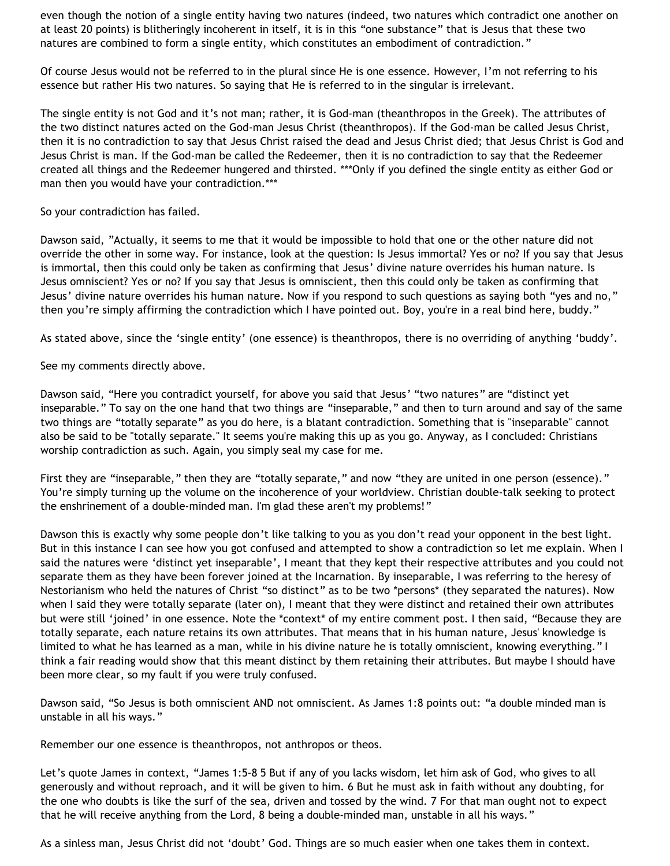even though the notion of a single entity having two natures (indeed, two natures which contradict one another on at least 20 points) is blitheringly incoherent in itself, it is in this "one substance" that is Jesus that these two natures are combined to form a single entity, which constitutes an embodiment of contradiction."

Of course Jesus would not be referred to in the plural since He is one essence. However, I'm not referring to his essence but rather His two natures. So saying that He is referred to in the singular is irrelevant.

The single entity is not God and it's not man; rather, it is God-man (theanthropos in the Greek). The attributes of the two distinct natures acted on the God-man Jesus Christ (theanthropos). If the God-man be called Jesus Christ, then it is no contradiction to say that Jesus Christ raised the dead and Jesus Christ died; that Jesus Christ is God and Jesus Christ is man. If the God-man be called the Redeemer, then it is no contradiction to say that the Redeemer created all things and the Redeemer hungered and thirsted. \*\*\*Only if you defined the single entity as either God or man then you would have your contradiction.\*\*\*

So your contradiction has failed.

Dawson said, "Actually, it seems to me that it would be impossible to hold that one or the other nature did not override the other in some way. For instance, look at the question: Is Jesus immortal? Yes or no? If you say that Jesus is immortal, then this could only be taken as confirming that Jesus' divine nature overrides his human nature. Is Jesus omniscient? Yes or no? If you say that Jesus is omniscient, then this could only be taken as confirming that Jesus' divine nature overrides his human nature. Now if you respond to such questions as saying both "yes and no," then you're simply affirming the contradiction which I have pointed out. Boy, you're in a real bind here, buddy."

As stated above, since the 'single entity' (one essence) is theanthropos, there is no overriding of anything 'buddy'.

See my comments directly above.

Dawson said, "Here you contradict yourself, for above you said that Jesus' "two natures" are "distinct yet inseparable." To say on the one hand that two things are "inseparable," and then to turn around and say of the same two things are "totally separate" as you do here, is a blatant contradiction. Something that is "inseparable" cannot also be said to be "totally separate." It seems you're making this up as you go. Anyway, as I concluded: Christians worship contradiction as such. Again, you simply seal my case for me.

First they are "inseparable," then they are "totally separate," and now "they are united in one person (essence)." You're simply turning up the volume on the incoherence of your worldview. Christian double-talk seeking to protect the enshrinement of a double-minded man. I'm glad these aren't my problems!"

Dawson this is exactly why some people don't like talking to you as you don't read your opponent in the best light. But in this instance I can see how you got confused and attempted to show a contradiction so let me explain. When I said the natures were 'distinct yet inseparable', I meant that they kept their respective attributes and you could not separate them as they have been forever joined at the Incarnation. By inseparable, I was referring to the heresy of Nestorianism who held the natures of Christ "so distinct" as to be two \*persons\* (they separated the natures). Now when I said they were totally separate (later on), I meant that they were distinct and retained their own attributes but were still 'joined' in one essence. Note the \*context\* of my entire comment post. I then said, "Because they are totally separate, each nature retains its own attributes. That means that in his human nature, Jesus' knowledge is limited to what he has learned as a man, while in his divine nature he is totally omniscient, knowing everything." I think a fair reading would show that this meant distinct by them retaining their attributes. But maybe I should have been more clear, so my fault if you were truly confused.

Dawson said, "So Jesus is both omniscient AND not omniscient. As James 1:8 points out: "a double minded man is unstable in all his ways."

Remember our one essence is theanthropos, not anthropos or theos.

Let's quote James in context, "James 1:5-8 5 But if any of you lacks wisdom, let him ask of God, who gives to all generously and without reproach, and it will be given to him. 6 But he must ask in faith without any doubting, for the one who doubts is like the surf of the sea, driven and tossed by the wind. 7 For that man ought not to expect that he will receive anything from the Lord, 8 being a double-minded man, unstable in all his ways."

As a sinless man, Jesus Christ did not 'doubt' God. Things are so much easier when one takes them in context.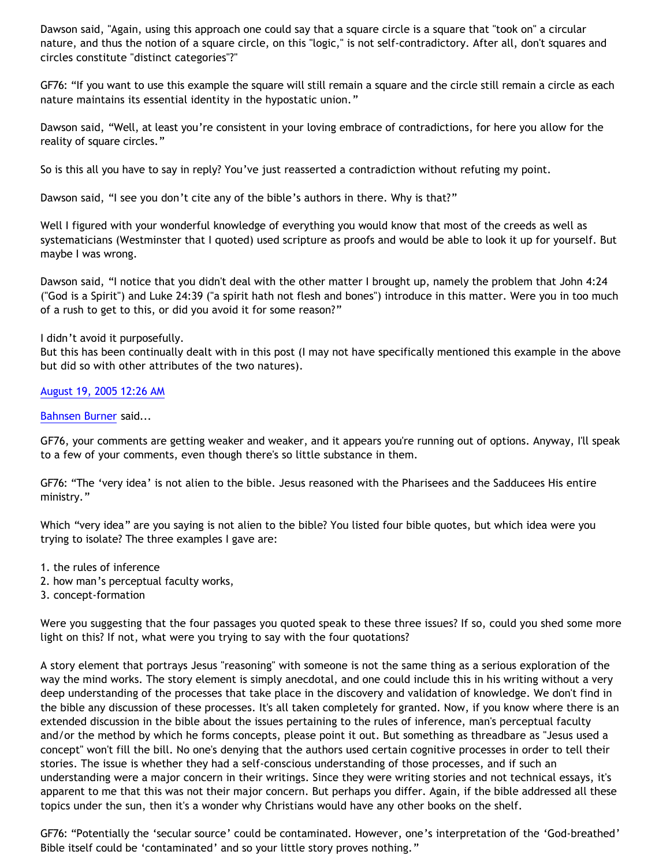Dawson said, "Again, using this approach one could say that a square circle is a square that "took on" a circular nature, and thus the notion of a square circle, on this "logic," is not self-contradictory. After all, don't squares and circles constitute "distinct categories"?"

GF76: "If you want to use this example the square will still remain a square and the circle still remain a circle as each nature maintains its essential identity in the hypostatic union."

Dawson said, "Well, at least you're consistent in your loving embrace of contradictions, for here you allow for the reality of square circles."

So is this all you have to say in reply? You've just reasserted a contradiction without refuting my point.

Dawson said, "I see you don't cite any of the bible's authors in there. Why is that?"

Well I figured with your wonderful knowledge of everything you would know that most of the creeds as well as systematicians (Westminster that I quoted) used scripture as proofs and would be able to look it up for yourself. But maybe I was wrong.

Dawson said, "I notice that you didn't deal with the other matter I brought up, namely the problem that John 4:24 ("God is a Spirit") and Luke 24:39 ("a spirit hath not flesh and bones") introduce in this matter. Were you in too much of a rush to get to this, or did you avoid it for some reason?"

### I didn't avoid it purposefully.

But this has been continually dealt with in this post (I may not have specifically mentioned this example in the above but did so with other attributes of the two natures).

## [August 19, 2005 12:26 AM](http://bahnsenburner.blogspot.com/2005/08/112443637610131737)

### [Bahnsen Burner](http://www.blogger.com/profile/7766918) said...

GF76, your comments are getting weaker and weaker, and it appears you're running out of options. Anyway, I'll speak to a few of your comments, even though there's so little substance in them.

GF76: "The 'very idea' is not alien to the bible. Jesus reasoned with the Pharisees and the Sadducees His entire ministry."

Which "very idea" are you saying is not alien to the bible? You listed four bible quotes, but which idea were you trying to isolate? The three examples I gave are:

- 1. the rules of inference
- 2. how man's perceptual faculty works,
- 3. concept-formation

Were you suggesting that the four passages you quoted speak to these three issues? If so, could you shed some more light on this? If not, what were you trying to say with the four quotations?

A story element that portrays Jesus "reasoning" with someone is not the same thing as a serious exploration of the way the mind works. The story element is simply anecdotal, and one could include this in his writing without a very deep understanding of the processes that take place in the discovery and validation of knowledge. We don't find in the bible any discussion of these processes. It's all taken completely for granted. Now, if you know where there is an extended discussion in the bible about the issues pertaining to the rules of inference, man's perceptual faculty and/or the method by which he forms concepts, please point it out. But something as threadbare as "Jesus used a concept" won't fill the bill. No one's denying that the authors used certain cognitive processes in order to tell their stories. The issue is whether they had a self-conscious understanding of those processes, and if such an understanding were a major concern in their writings. Since they were writing stories and not technical essays, it's apparent to me that this was not their major concern. But perhaps you differ. Again, if the bible addressed all these topics under the sun, then it's a wonder why Christians would have any other books on the shelf.

GF76: "Potentially the 'secular source' could be contaminated. However, one's interpretation of the 'God-breathed' Bible itself could be 'contaminated' and so your little story proves nothing."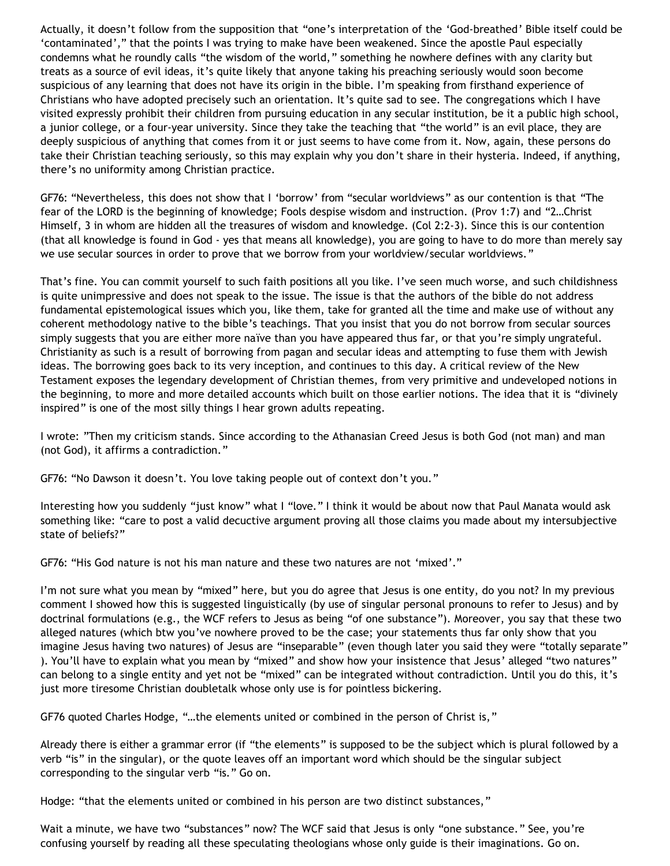Actually, it doesn't follow from the supposition that "one's interpretation of the 'God-breathed' Bible itself could be 'contaminated'," that the points I was trying to make have been weakened. Since the apostle Paul especially condemns what he roundly calls "the wisdom of the world," something he nowhere defines with any clarity but treats as a source of evil ideas, it's quite likely that anyone taking his preaching seriously would soon become suspicious of any learning that does not have its origin in the bible. I'm speaking from firsthand experience of Christians who have adopted precisely such an orientation. It's quite sad to see. The congregations which I have visited expressly prohibit their children from pursuing education in any secular institution, be it a public high school, a junior college, or a four-year university. Since they take the teaching that "the world" is an evil place, they are deeply suspicious of anything that comes from it or just seems to have come from it. Now, again, these persons do take their Christian teaching seriously, so this may explain why you don't share in their hysteria. Indeed, if anything, there's no uniformity among Christian practice.

GF76: "Nevertheless, this does not show that I 'borrow' from "secular worldviews" as our contention is that "The fear of the LORD is the beginning of knowledge; Fools despise wisdom and instruction. (Prov 1:7) and "2…Christ Himself, 3 in whom are hidden all the treasures of wisdom and knowledge. (Col 2:2-3). Since this is our contention (that all knowledge is found in God - yes that means all knowledge), you are going to have to do more than merely say we use secular sources in order to prove that we borrow from your worldview/secular worldviews."

That's fine. You can commit yourself to such faith positions all you like. I've seen much worse, and such childishness is quite unimpressive and does not speak to the issue. The issue is that the authors of the bible do not address fundamental epistemological issues which you, like them, take for granted all the time and make use of without any coherent methodology native to the bible's teachings. That you insist that you do not borrow from secular sources simply suggests that you are either more naïve than you have appeared thus far, or that you're simply ungrateful. Christianity as such is a result of borrowing from pagan and secular ideas and attempting to fuse them with Jewish ideas. The borrowing goes back to its very inception, and continues to this day. A critical review of the New Testament exposes the legendary development of Christian themes, from very primitive and undeveloped notions in the beginning, to more and more detailed accounts which built on those earlier notions. The idea that it is "divinely inspired" is one of the most silly things I hear grown adults repeating.

I wrote: "Then my criticism stands. Since according to the Athanasian Creed Jesus is both God (not man) and man (not God), it affirms a contradiction."

GF76: "No Dawson it doesn't. You love taking people out of context don't you."

Interesting how you suddenly "just know" what I "love." I think it would be about now that Paul Manata would ask something like: "care to post a valid decuctive argument proving all those claims you made about my intersubjective state of beliefs?"

GF76: "His God nature is not his man nature and these two natures are not 'mixed'."

I'm not sure what you mean by "mixed" here, but you do agree that Jesus is one entity, do you not? In my previous comment I showed how this is suggested linguistically (by use of singular personal pronouns to refer to Jesus) and by doctrinal formulations (e.g., the WCF refers to Jesus as being "of one substance"). Moreover, you say that these two alleged natures (which btw you've nowhere proved to be the case; your statements thus far only show that you imagine Jesus having two natures) of Jesus are "inseparable" (even though later you said they were "totally separate" ). You'll have to explain what you mean by "mixed" and show how your insistence that Jesus' alleged "two natures" can belong to a single entity and yet not be "mixed" can be integrated without contradiction. Until you do this, it's just more tiresome Christian doubletalk whose only use is for pointless bickering.

GF76 quoted Charles Hodge, "…the elements united or combined in the person of Christ is,"

Already there is either a grammar error (if "the elements" is supposed to be the subject which is plural followed by a verb "is" in the singular), or the quote leaves off an important word which should be the singular subject corresponding to the singular verb "is." Go on.

Hodge: "that the elements united or combined in his person are two distinct substances,"

Wait a minute, we have two "substances" now? The WCF said that Jesus is only "one substance." See, you're confusing yourself by reading all these speculating theologians whose only guide is their imaginations. Go on.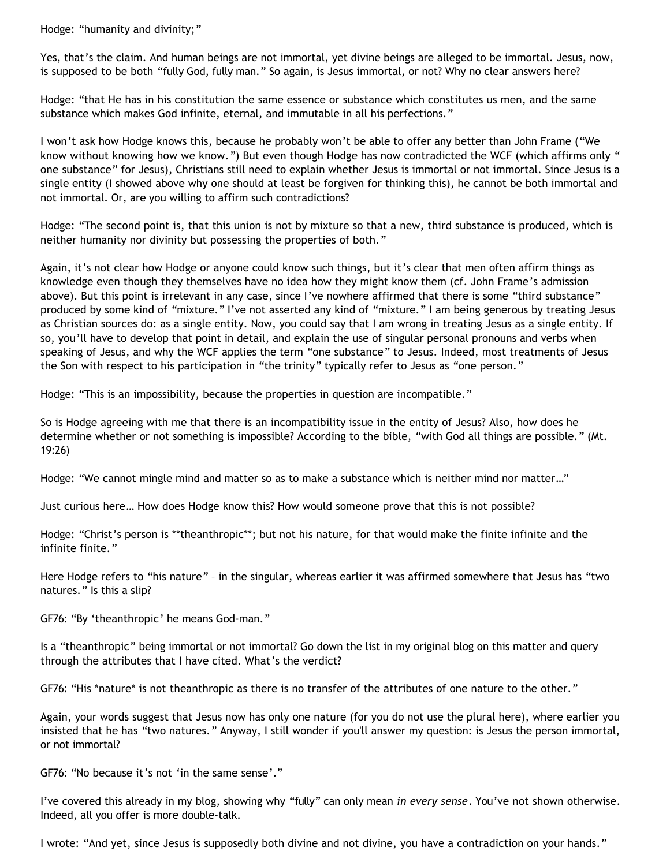Hodge: "humanity and divinity;"

Yes, that's the claim. And human beings are not immortal, yet divine beings are alleged to be immortal. Jesus, now, is supposed to be both "fully God, fully man." So again, is Jesus immortal, or not? Why no clear answers here?

Hodge: "that He has in his constitution the same essence or substance which constitutes us men, and the same substance which makes God infinite, eternal, and immutable in all his perfections."

I won't ask how Hodge knows this, because he probably won't be able to offer any better than John Frame ("We know without knowing how we know.") But even though Hodge has now contradicted the WCF (which affirms only " one substance" for Jesus), Christians still need to explain whether Jesus is immortal or not immortal. Since Jesus is a single entity (I showed above why one should at least be forgiven for thinking this), he cannot be both immortal and not immortal. Or, are you willing to affirm such contradictions?

Hodge: "The second point is, that this union is not by mixture so that a new, third substance is produced, which is neither humanity nor divinity but possessing the properties of both."

Again, it's not clear how Hodge or anyone could know such things, but it's clear that men often affirm things as knowledge even though they themselves have no idea how they might know them (cf. John Frame's admission above). But this point is irrelevant in any case, since I've nowhere affirmed that there is some "third substance" produced by some kind of "mixture." I've not asserted any kind of "mixture." I am being generous by treating Jesus as Christian sources do: as a single entity. Now, you could say that I am wrong in treating Jesus as a single entity. If so, you'll have to develop that point in detail, and explain the use of singular personal pronouns and verbs when speaking of Jesus, and why the WCF applies the term "one substance" to Jesus. Indeed, most treatments of Jesus the Son with respect to his participation in "the trinity" typically refer to Jesus as "one person."

Hodge: "This is an impossibility, because the properties in question are incompatible."

So is Hodge agreeing with me that there is an incompatibility issue in the entity of Jesus? Also, how does he determine whether or not something is impossible? According to the bible, "with God all things are possible." (Mt. 19:26)

Hodge: "We cannot mingle mind and matter so as to make a substance which is neither mind nor matter…"

Just curious here… How does Hodge know this? How would someone prove that this is not possible?

Hodge: "Christ's person is \*\*theanthropic\*\*; but not his nature, for that would make the finite infinite and the infinite finite."

Here Hodge refers to "his nature" – in the singular, whereas earlier it was affirmed somewhere that Jesus has "two natures." Is this a slip?

GF76: "By 'theanthropic' he means God-man."

Is a "theanthropic" being immortal or not immortal? Go down the list in my original blog on this matter and query through the attributes that I have cited. What's the verdict?

GF76: "His \*nature\* is not theanthropic as there is no transfer of the attributes of one nature to the other."

Again, your words suggest that Jesus now has only one nature (for you do not use the plural here), where earlier you insisted that he has "two natures." Anyway, I still wonder if you'll answer my question: is Jesus the person immortal, or not immortal?

GF76: "No because it's not 'in the same sense'."

I've covered this already in my blog, showing why "fully" can only mean *in every sense*. You've not shown otherwise. Indeed, all you offer is more double-talk.

I wrote: "And yet, since Jesus is supposedly both divine and not divine, you have a contradiction on your hands."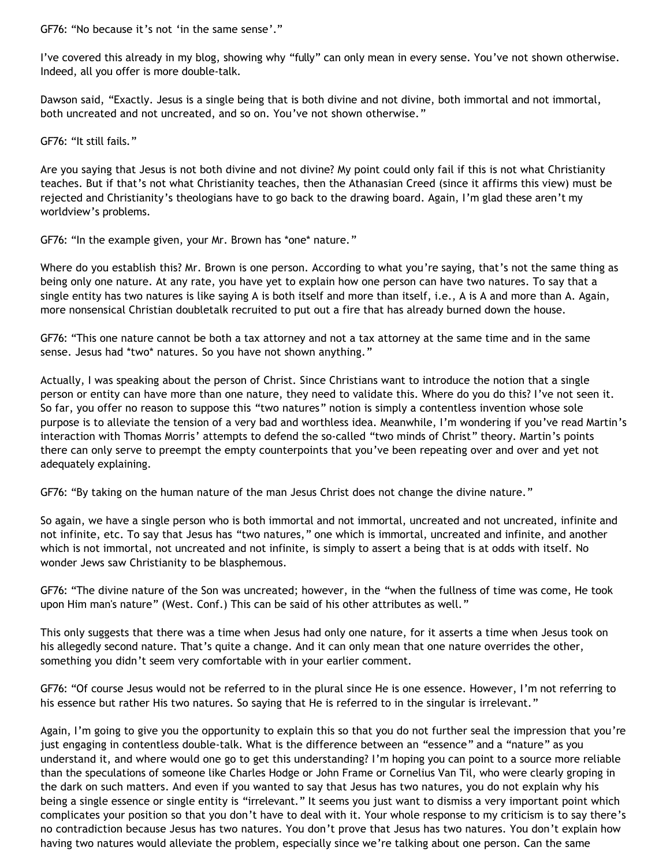GF76: "No because it's not 'in the same sense'."

I've covered this already in my blog, showing why "fully" can only mean in every sense. You've not shown otherwise. Indeed, all you offer is more double-talk.

Dawson said, "Exactly. Jesus is a single being that is both divine and not divine, both immortal and not immortal, both uncreated and not uncreated, and so on. You've not shown otherwise."

GF76: "It still fails."

Are you saying that Jesus is not both divine and not divine? My point could only fail if this is not what Christianity teaches. But if that's not what Christianity teaches, then the Athanasian Creed (since it affirms this view) must be rejected and Christianity's theologians have to go back to the drawing board. Again, I'm glad these aren't my worldview's problems.

GF76: "In the example given, your Mr. Brown has \*one\* nature."

Where do you establish this? Mr. Brown is one person. According to what you're saying, that's not the same thing as being only one nature. At any rate, you have yet to explain how one person can have two natures. To say that a single entity has two natures is like saying A is both itself and more than itself, i.e., A is A and more than A. Again, more nonsensical Christian doubletalk recruited to put out a fire that has already burned down the house.

GF76: "This one nature cannot be both a tax attorney and not a tax attorney at the same time and in the same sense. Jesus had \*two\* natures. So you have not shown anything."

Actually, I was speaking about the person of Christ. Since Christians want to introduce the notion that a single person or entity can have more than one nature, they need to validate this. Where do you do this? I've not seen it. So far, you offer no reason to suppose this "two natures" notion is simply a contentless invention whose sole purpose is to alleviate the tension of a very bad and worthless idea. Meanwhile, I'm wondering if you've read Martin's interaction with Thomas Morris' attempts to defend the so-called "two minds of Christ" theory. Martin's points there can only serve to preempt the empty counterpoints that you've been repeating over and over and yet not adequately explaining.

GF76: "By taking on the human nature of the man Jesus Christ does not change the divine nature."

So again, we have a single person who is both immortal and not immortal, uncreated and not uncreated, infinite and not infinite, etc. To say that Jesus has "two natures," one which is immortal, uncreated and infinite, and another which is not immortal, not uncreated and not infinite, is simply to assert a being that is at odds with itself. No wonder Jews saw Christianity to be blasphemous.

GF76: "The divine nature of the Son was uncreated; however, in the "when the fullness of time was come, He took upon Him man's nature" (West. Conf.) This can be said of his other attributes as well."

This only suggests that there was a time when Jesus had only one nature, for it asserts a time when Jesus took on his allegedly second nature. That's quite a change. And it can only mean that one nature overrides the other, something you didn't seem very comfortable with in your earlier comment.

GF76: "Of course Jesus would not be referred to in the plural since He is one essence. However, I'm not referring to his essence but rather His two natures. So saying that He is referred to in the singular is irrelevant."

Again, I'm going to give you the opportunity to explain this so that you do not further seal the impression that you're just engaging in contentless double-talk. What is the difference between an "essence" and a "nature" as you understand it, and where would one go to get this understanding? I'm hoping you can point to a source more reliable than the speculations of someone like Charles Hodge or John Frame or Cornelius Van Til, who were clearly groping in the dark on such matters. And even if you wanted to say that Jesus has two natures, you do not explain why his being a single essence or single entity is "irrelevant." It seems you just want to dismiss a very important point which complicates your position so that you don't have to deal with it. Your whole response to my criticism is to say there's no contradiction because Jesus has two natures. You don't prove that Jesus has two natures. You don't explain how having two natures would alleviate the problem, especially since we're talking about one person. Can the same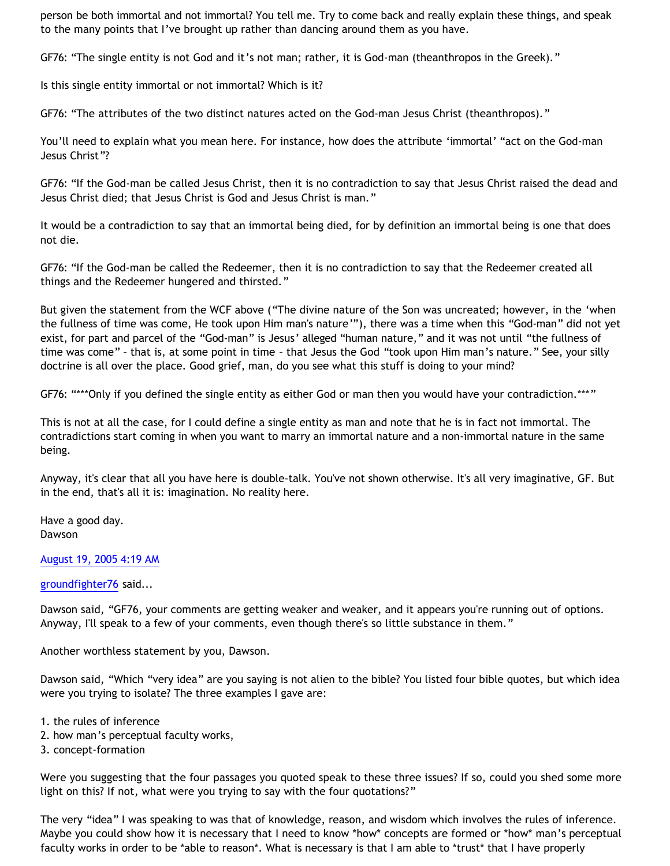person be both immortal and not immortal? You tell me. Try to come back and really explain these things, and speak to the many points that I've brought up rather than dancing around them as you have.

GF76: "The single entity is not God and it's not man; rather, it is God-man (theanthropos in the Greek)."

Is this single entity immortal or not immortal? Which is it?

GF76: "The attributes of the two distinct natures acted on the God-man Jesus Christ (theanthropos)."

You'll need to explain what you mean here. For instance, how does the attribute 'immortal' "act on the God-man Jesus Christ"?

GF76: "If the God-man be called Jesus Christ, then it is no contradiction to say that Jesus Christ raised the dead and Jesus Christ died; that Jesus Christ is God and Jesus Christ is man."

It would be a contradiction to say that an immortal being died, for by definition an immortal being is one that does not die.

GF76: "If the God-man be called the Redeemer, then it is no contradiction to say that the Redeemer created all things and the Redeemer hungered and thirsted."

But given the statement from the WCF above ("The divine nature of the Son was uncreated; however, in the 'when the fullness of time was come, He took upon Him man's nature'"), there was a time when this "God-man" did not yet exist, for part and parcel of the "God-man" is Jesus' alleged "human nature," and it was not until "the fullness of time was come" – that is, at some point in time – that Jesus the God "took upon Him man's nature." See, your silly doctrine is all over the place. Good grief, man, do you see what this stuff is doing to your mind?

GF76: "\*\*\*Only if you defined the single entity as either God or man then you would have your contradiction.\*\*\*"

This is not at all the case, for I could define a single entity as man and note that he is in fact not immortal. The contradictions start coming in when you want to marry an immortal nature and a non-immortal nature in the same being.

Anyway, it's clear that all you have here is double-talk. You've not shown otherwise. It's all very imaginative, GF. But in the end, that's all it is: imagination. No reality here.

Have a good day. Dawson

## [August 19, 2005 4:19 AM](http://bahnsenburner.blogspot.com/2005/08/112445038551437576)

[groundfighter76](http://www.blogger.com/profile/8210797) said...

Dawson said, "GF76, your comments are getting weaker and weaker, and it appears you're running out of options. Anyway, I'll speak to a few of your comments, even though there's so little substance in them."

Another worthless statement by you, Dawson.

Dawson said, "Which "very idea" are you saying is not alien to the bible? You listed four bible quotes, but which idea were you trying to isolate? The three examples I gave are:

- 1. the rules of inference
- 2. how man's perceptual faculty works,
- 3. concept-formation

Were you suggesting that the four passages you quoted speak to these three issues? If so, could you shed some more light on this? If not, what were you trying to say with the four quotations?"

The very "idea" I was speaking to was that of knowledge, reason, and wisdom which involves the rules of inference. Maybe you could show how it is necessary that I need to know \*how\* concepts are formed or \*how\* man's perceptual faculty works in order to be \*able to reason\*. What is necessary is that I am able to \*trust\* that I have properly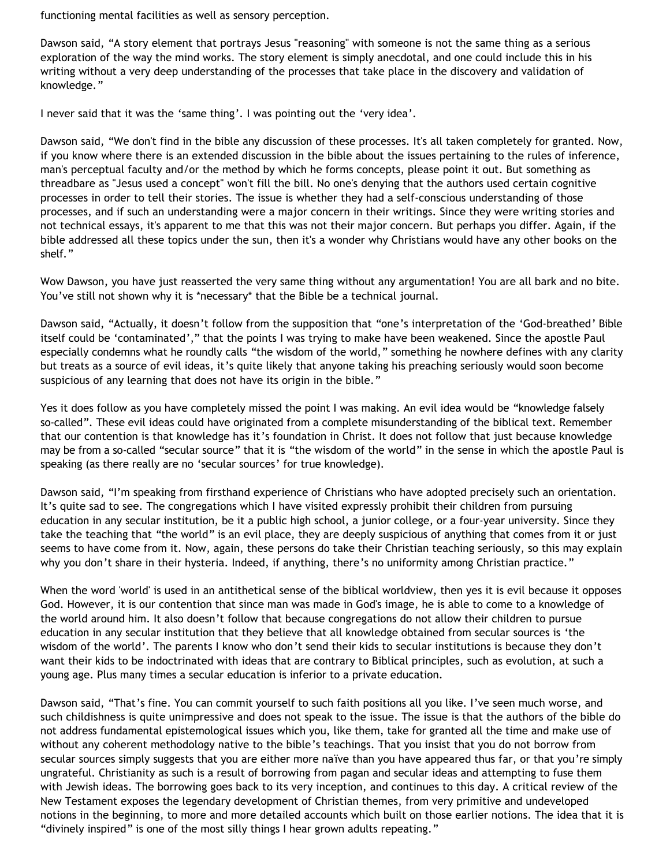functioning mental facilities as well as sensory perception.

Dawson said, "A story element that portrays Jesus "reasoning" with someone is not the same thing as a serious exploration of the way the mind works. The story element is simply anecdotal, and one could include this in his writing without a very deep understanding of the processes that take place in the discovery and validation of knowledge."

I never said that it was the 'same thing'. I was pointing out the 'very idea'.

Dawson said, "We don't find in the bible any discussion of these processes. It's all taken completely for granted. Now, if you know where there is an extended discussion in the bible about the issues pertaining to the rules of inference, man's perceptual faculty and/or the method by which he forms concepts, please point it out. But something as threadbare as "Jesus used a concept" won't fill the bill. No one's denying that the authors used certain cognitive processes in order to tell their stories. The issue is whether they had a self-conscious understanding of those processes, and if such an understanding were a major concern in their writings. Since they were writing stories and not technical essays, it's apparent to me that this was not their major concern. But perhaps you differ. Again, if the bible addressed all these topics under the sun, then it's a wonder why Christians would have any other books on the shelf."

Wow Dawson, you have just reasserted the very same thing without any argumentation! You are all bark and no bite. You've still not shown why it is \*necessary\* that the Bible be a technical journal.

Dawson said, "Actually, it doesn't follow from the supposition that "one's interpretation of the 'God-breathed' Bible itself could be 'contaminated'," that the points I was trying to make have been weakened. Since the apostle Paul especially condemns what he roundly calls "the wisdom of the world," something he nowhere defines with any clarity but treats as a source of evil ideas, it's quite likely that anyone taking his preaching seriously would soon become suspicious of any learning that does not have its origin in the bible."

Yes it does follow as you have completely missed the point I was making. An evil idea would be "knowledge falsely so-called". These evil ideas could have originated from a complete misunderstanding of the biblical text. Remember that our contention is that knowledge has it's foundation in Christ. It does not follow that just because knowledge may be from a so-called "secular source" that it is "the wisdom of the world" in the sense in which the apostle Paul is speaking (as there really are no 'secular sources' for true knowledge).

Dawson said, "I'm speaking from firsthand experience of Christians who have adopted precisely such an orientation. It's quite sad to see. The congregations which I have visited expressly prohibit their children from pursuing education in any secular institution, be it a public high school, a junior college, or a four-year university. Since they take the teaching that "the world" is an evil place, they are deeply suspicious of anything that comes from it or just seems to have come from it. Now, again, these persons do take their Christian teaching seriously, so this may explain why you don't share in their hysteria. Indeed, if anything, there's no uniformity among Christian practice."

When the word 'world' is used in an antithetical sense of the biblical worldview, then yes it is evil because it opposes God. However, it is our contention that since man was made in God's image, he is able to come to a knowledge of the world around him. It also doesn't follow that because congregations do not allow their children to pursue education in any secular institution that they believe that all knowledge obtained from secular sources is 'the wisdom of the world'. The parents I know who don't send their kids to secular institutions is because they don't want their kids to be indoctrinated with ideas that are contrary to Biblical principles, such as evolution, at such a young age. Plus many times a secular education is inferior to a private education.

Dawson said, "That's fine. You can commit yourself to such faith positions all you like. I've seen much worse, and such childishness is quite unimpressive and does not speak to the issue. The issue is that the authors of the bible do not address fundamental epistemological issues which you, like them, take for granted all the time and make use of without any coherent methodology native to the bible's teachings. That you insist that you do not borrow from secular sources simply suggests that you are either more naïve than you have appeared thus far, or that you're simply ungrateful. Christianity as such is a result of borrowing from pagan and secular ideas and attempting to fuse them with Jewish ideas. The borrowing goes back to its very inception, and continues to this day. A critical review of the New Testament exposes the legendary development of Christian themes, from very primitive and undeveloped notions in the beginning, to more and more detailed accounts which built on those earlier notions. The idea that it is "divinely inspired" is one of the most silly things I hear grown adults repeating."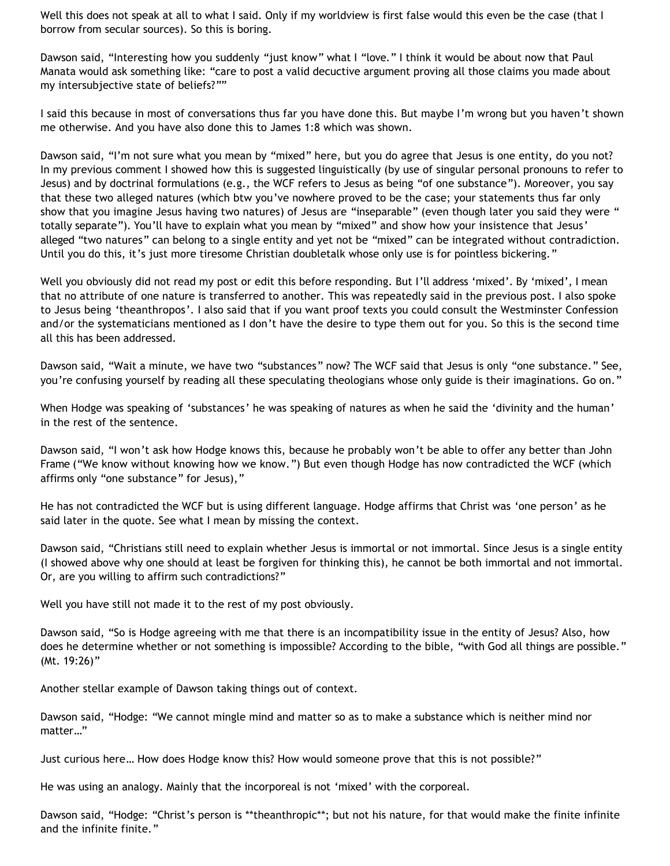Well this does not speak at all to what I said. Only if my worldview is first false would this even be the case (that I borrow from secular sources). So this is boring.

Dawson said, "Interesting how you suddenly "just know" what I "love." I think it would be about now that Paul Manata would ask something like: "care to post a valid decuctive argument proving all those claims you made about my intersubjective state of beliefs?""

I said this because in most of conversations thus far you have done this. But maybe I'm wrong but you haven't shown me otherwise. And you have also done this to James 1:8 which was shown.

Dawson said, "I'm not sure what you mean by "mixed" here, but you do agree that Jesus is one entity, do you not? In my previous comment I showed how this is suggested linguistically (by use of singular personal pronouns to refer to Jesus) and by doctrinal formulations (e.g., the WCF refers to Jesus as being "of one substance"). Moreover, you say that these two alleged natures (which btw you've nowhere proved to be the case; your statements thus far only show that you imagine Jesus having two natures) of Jesus are "inseparable" (even though later you said they were " totally separate"). You'll have to explain what you mean by "mixed" and show how your insistence that Jesus' alleged "two natures" can belong to a single entity and yet not be "mixed" can be integrated without contradiction. Until you do this, it's just more tiresome Christian doubletalk whose only use is for pointless bickering."

Well you obviously did not read my post or edit this before responding. But I'll address 'mixed'. By 'mixed', I mean that no attribute of one nature is transferred to another. This was repeatedly said in the previous post. I also spoke to Jesus being 'theanthropos'. I also said that if you want proof texts you could consult the Westminster Confession and/or the systematicians mentioned as I don't have the desire to type them out for you. So this is the second time all this has been addressed.

Dawson said, "Wait a minute, we have two "substances" now? The WCF said that Jesus is only "one substance." See, you're confusing yourself by reading all these speculating theologians whose only guide is their imaginations. Go on."

When Hodge was speaking of 'substances' he was speaking of natures as when he said the 'divinity and the human' in the rest of the sentence.

Dawson said, "I won't ask how Hodge knows this, because he probably won't be able to offer any better than John Frame ("We know without knowing how we know.") But even though Hodge has now contradicted the WCF (which affirms only "one substance" for Jesus),"

He has not contradicted the WCF but is using different language. Hodge affirms that Christ was 'one person' as he said later in the quote. See what I mean by missing the context.

Dawson said, "Christians still need to explain whether Jesus is immortal or not immortal. Since Jesus is a single entity (I showed above why one should at least be forgiven for thinking this), he cannot be both immortal and not immortal. Or, are you willing to affirm such contradictions?"

Well you have still not made it to the rest of my post obviously.

Dawson said, "So is Hodge agreeing with me that there is an incompatibility issue in the entity of Jesus? Also, how does he determine whether or not something is impossible? According to the bible, "with God all things are possible." (Mt. 19:26)"

Another stellar example of Dawson taking things out of context.

Dawson said, "Hodge: "We cannot mingle mind and matter so as to make a substance which is neither mind nor matter…"

Just curious here… How does Hodge know this? How would someone prove that this is not possible?"

He was using an analogy. Mainly that the incorporeal is not 'mixed' with the corporeal.

Dawson said, "Hodge: "Christ's person is \*\*theanthropic\*\*; but not his nature, for that would make the finite infinite and the infinite finite."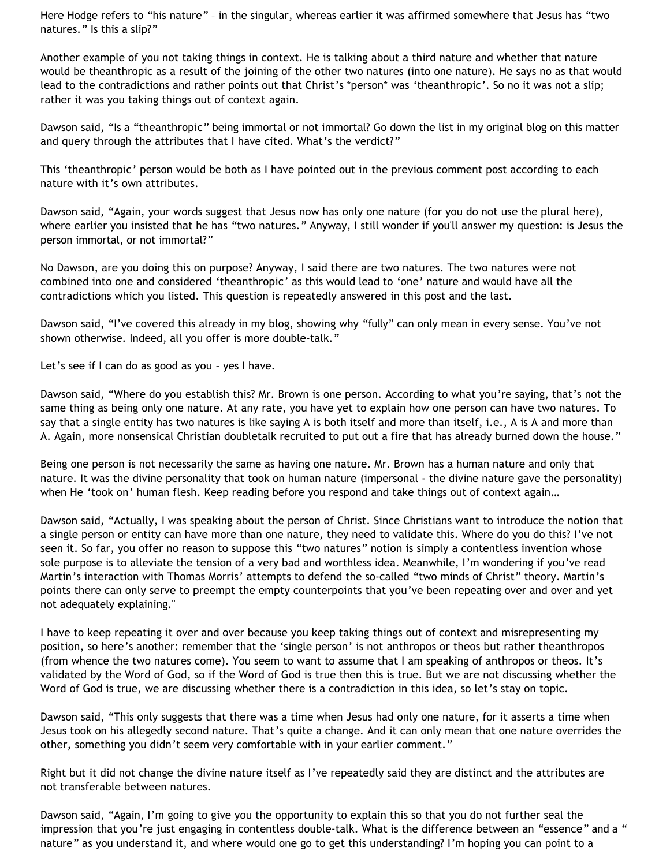Here Hodge refers to "his nature" – in the singular, whereas earlier it was affirmed somewhere that Jesus has "two natures." Is this a slip?"

Another example of you not taking things in context. He is talking about a third nature and whether that nature would be theanthropic as a result of the joining of the other two natures (into one nature). He says no as that would lead to the contradictions and rather points out that Christ's \*person\* was 'theanthropic'. So no it was not a slip; rather it was you taking things out of context again.

Dawson said, "Is a "theanthropic" being immortal or not immortal? Go down the list in my original blog on this matter and query through the attributes that I have cited. What's the verdict?"

This 'theanthropic' person would be both as I have pointed out in the previous comment post according to each nature with it's own attributes.

Dawson said, "Again, your words suggest that Jesus now has only one nature (for you do not use the plural here), where earlier you insisted that he has "two natures." Anyway, I still wonder if you'll answer my question: is Jesus the person immortal, or not immortal?"

No Dawson, are you doing this on purpose? Anyway, I said there are two natures. The two natures were not combined into one and considered 'theanthropic' as this would lead to 'one' nature and would have all the contradictions which you listed. This question is repeatedly answered in this post and the last.

Dawson said, "I've covered this already in my blog, showing why "fully" can only mean in every sense. You've not shown otherwise. Indeed, all you offer is more double-talk."

Let's see if I can do as good as you - yes I have.

Dawson said, "Where do you establish this? Mr. Brown is one person. According to what you're saying, that's not the same thing as being only one nature. At any rate, you have yet to explain how one person can have two natures. To say that a single entity has two natures is like saying A is both itself and more than itself, i.e., A is A and more than A. Again, more nonsensical Christian doubletalk recruited to put out a fire that has already burned down the house."

Being one person is not necessarily the same as having one nature. Mr. Brown has a human nature and only that nature. It was the divine personality that took on human nature (impersonal - the divine nature gave the personality) when He 'took on' human flesh. Keep reading before you respond and take things out of context again…

Dawson said, "Actually, I was speaking about the person of Christ. Since Christians want to introduce the notion that a single person or entity can have more than one nature, they need to validate this. Where do you do this? I've not seen it. So far, you offer no reason to suppose this "two natures" notion is simply a contentless invention whose sole purpose is to alleviate the tension of a very bad and worthless idea. Meanwhile, I'm wondering if you've read Martin's interaction with Thomas Morris' attempts to defend the so-called "two minds of Christ" theory. Martin's points there can only serve to preempt the empty counterpoints that you've been repeating over and over and yet not adequately explaining."

I have to keep repeating it over and over because you keep taking things out of context and misrepresenting my position, so here's another: remember that the 'single person' is not anthropos or theos but rather theanthropos (from whence the two natures come). You seem to want to assume that I am speaking of anthropos or theos. It's validated by the Word of God, so if the Word of God is true then this is true. But we are not discussing whether the Word of God is true, we are discussing whether there is a contradiction in this idea, so let's stay on topic.

Dawson said, "This only suggests that there was a time when Jesus had only one nature, for it asserts a time when Jesus took on his allegedly second nature. That's quite a change. And it can only mean that one nature overrides the other, something you didn't seem very comfortable with in your earlier comment."

Right but it did not change the divine nature itself as I've repeatedly said they are distinct and the attributes are not transferable between natures.

Dawson said, "Again, I'm going to give you the opportunity to explain this so that you do not further seal the impression that you're just engaging in contentless double-talk. What is the difference between an "essence" and a " nature" as you understand it, and where would one go to get this understanding? I'm hoping you can point to a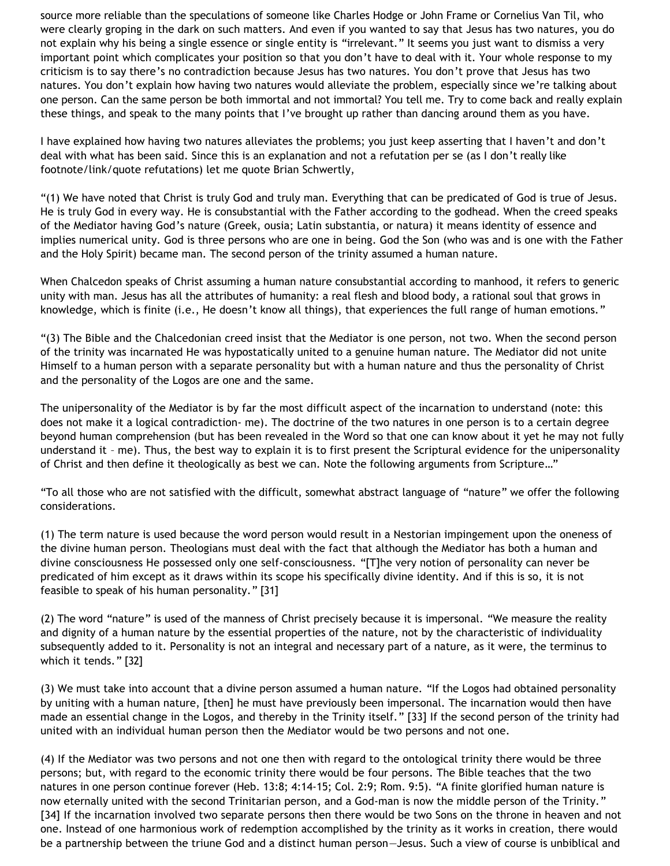source more reliable than the speculations of someone like Charles Hodge or John Frame or Cornelius Van Til, who were clearly groping in the dark on such matters. And even if you wanted to say that Jesus has two natures, you do not explain why his being a single essence or single entity is "irrelevant." It seems you just want to dismiss a very important point which complicates your position so that you don't have to deal with it. Your whole response to my criticism is to say there's no contradiction because Jesus has two natures. You don't prove that Jesus has two natures. You don't explain how having two natures would alleviate the problem, especially since we're talking about one person. Can the same person be both immortal and not immortal? You tell me. Try to come back and really explain these things, and speak to the many points that I've brought up rather than dancing around them as you have.

I have explained how having two natures alleviates the problems; you just keep asserting that I haven't and don't deal with what has been said. Since this is an explanation and not a refutation per se (as I don't really like footnote/link/quote refutations) let me quote Brian Schwertly,

"(1) We have noted that Christ is truly God and truly man. Everything that can be predicated of God is true of Jesus. He is truly God in every way. He is consubstantial with the Father according to the godhead. When the creed speaks of the Mediator having God's nature (Greek, ousia; Latin substantia, or natura) it means identity of essence and implies numerical unity. God is three persons who are one in being. God the Son (who was and is one with the Father and the Holy Spirit) became man. The second person of the trinity assumed a human nature.

When Chalcedon speaks of Christ assuming a human nature consubstantial according to manhood, it refers to generic unity with man. Jesus has all the attributes of humanity: a real flesh and blood body, a rational soul that grows in knowledge, which is finite (i.e., He doesn't know all things), that experiences the full range of human emotions."

"(3) The Bible and the Chalcedonian creed insist that the Mediator is one person, not two. When the second person of the trinity was incarnated He was hypostatically united to a genuine human nature. The Mediator did not unite Himself to a human person with a separate personality but with a human nature and thus the personality of Christ and the personality of the Logos are one and the same.

The unipersonality of the Mediator is by far the most difficult aspect of the incarnation to understand (note: this does not make it a logical contradiction- me). The doctrine of the two natures in one person is to a certain degree beyond human comprehension (but has been revealed in the Word so that one can know about it yet he may not fully understand it – me). Thus, the best way to explain it is to first present the Scriptural evidence for the unipersonality of Christ and then define it theologically as best we can. Note the following arguments from Scripture…"

"To all those who are not satisfied with the difficult, somewhat abstract language of "nature" we offer the following considerations.

(1) The term nature is used because the word person would result in a Nestorian impingement upon the oneness of the divine human person. Theologians must deal with the fact that although the Mediator has both a human and divine consciousness He possessed only one self-consciousness. "[T]he very notion of personality can never be predicated of him except as it draws within its scope his specifically divine identity. And if this is so, it is not feasible to speak of his human personality." [31]

(2) The word "nature" is used of the manness of Christ precisely because it is impersonal. "We measure the reality and dignity of a human nature by the essential properties of the nature, not by the characteristic of individuality subsequently added to it. Personality is not an integral and necessary part of a nature, as it were, the terminus to which it tends." [32]

(3) We must take into account that a divine person assumed a human nature. "If the Logos had obtained personality by uniting with a human nature, [then] he must have previously been impersonal. The incarnation would then have made an essential change in the Logos, and thereby in the Trinity itself." [33] If the second person of the trinity had united with an individual human person then the Mediator would be two persons and not one.

(4) If the Mediator was two persons and not one then with regard to the ontological trinity there would be three persons; but, with regard to the economic trinity there would be four persons. The Bible teaches that the two natures in one person continue forever (Heb. 13:8; 4:14-15; Col. 2:9; Rom. 9:5). "A finite glorified human nature is now eternally united with the second Trinitarian person, and a God-man is now the middle person of the Trinity." [34] If the incarnation involved two separate persons then there would be two Sons on the throne in heaven and not one. Instead of one harmonious work of redemption accomplished by the trinity as it works in creation, there would be a partnership between the triune God and a distinct human person—Jesus. Such a view of course is unbiblical and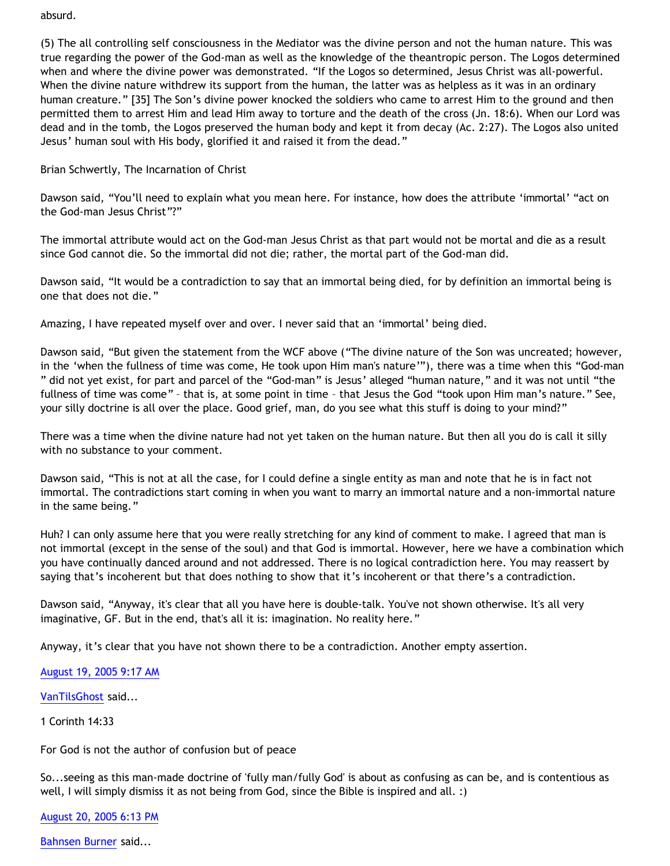### absurd.

(5) The all controlling self consciousness in the Mediator was the divine person and not the human nature. This was true regarding the power of the God-man as well as the knowledge of the theantropic person. The Logos determined when and where the divine power was demonstrated. "If the Logos so determined, Jesus Christ was all-powerful. When the divine nature withdrew its support from the human, the latter was as helpless as it was in an ordinary human creature." [35] The Son's divine power knocked the soldiers who came to arrest Him to the ground and then permitted them to arrest Him and lead Him away to torture and the death of the cross (Jn. 18:6). When our Lord was dead and in the tomb, the Logos preserved the human body and kept it from decay (Ac. 2:27). The Logos also united Jesus' human soul with His body, glorified it and raised it from the dead."

## Brian Schwertly, The Incarnation of Christ

Dawson said, "You'll need to explain what you mean here. For instance, how does the attribute 'immortal' "act on the God-man Jesus Christ"?"

The immortal attribute would act on the God-man Jesus Christ as that part would not be mortal and die as a result since God cannot die. So the immortal did not die; rather, the mortal part of the God-man did.

Dawson said, "It would be a contradiction to say that an immortal being died, for by definition an immortal being is one that does not die."

Amazing, I have repeated myself over and over. I never said that an 'immortal' being died.

Dawson said, "But given the statement from the WCF above ("The divine nature of the Son was uncreated; however, in the 'when the fullness of time was come, He took upon Him man's nature'"), there was a time when this "God-man " did not yet exist, for part and parcel of the "God-man" is Jesus' alleged "human nature," and it was not until "the fullness of time was come" – that is, at some point in time – that Jesus the God "took upon Him man's nature." See, your silly doctrine is all over the place. Good grief, man, do you see what this stuff is doing to your mind?"

There was a time when the divine nature had not yet taken on the human nature. But then all you do is call it silly with no substance to your comment.

Dawson said, "This is not at all the case, for I could define a single entity as man and note that he is in fact not immortal. The contradictions start coming in when you want to marry an immortal nature and a non-immortal nature in the same being."

Huh? I can only assume here that you were really stretching for any kind of comment to make. I agreed that man is not immortal (except in the sense of the soul) and that God is immortal. However, here we have a combination which you have continually danced around and not addressed. There is no logical contradiction here. You may reassert by saying that's incoherent but that does nothing to show that it's incoherent or that there's a contradiction.

Dawson said, "Anyway, it's clear that all you have here is double-talk. You've not shown otherwise. It's all very imaginative, GF. But in the end, that's all it is: imagination. No reality here."

Anyway, it's clear that you have not shown there to be a contradiction. Another empty assertion.

## [August 19, 2005 9:17 AM](http://bahnsenburner.blogspot.com/2005/08/112446827307064806)

[VanTilsGhost](http://www.blogger.com/profile/9496584) said...

1 Corinth 14:33

For God is not the author of confusion but of peace

So...seeing as this man-made doctrine of 'fully man/fully God' is about as confusing as can be, and is contentious as well, I will simply dismiss it as not being from God, since the Bible is inspired and all. :)

[August 20, 2005 6:13 PM](http://bahnsenburner.blogspot.com/2005/08/112458682703672432)

[Bahnsen Burner](http://www.blogger.com/profile/7766918) said...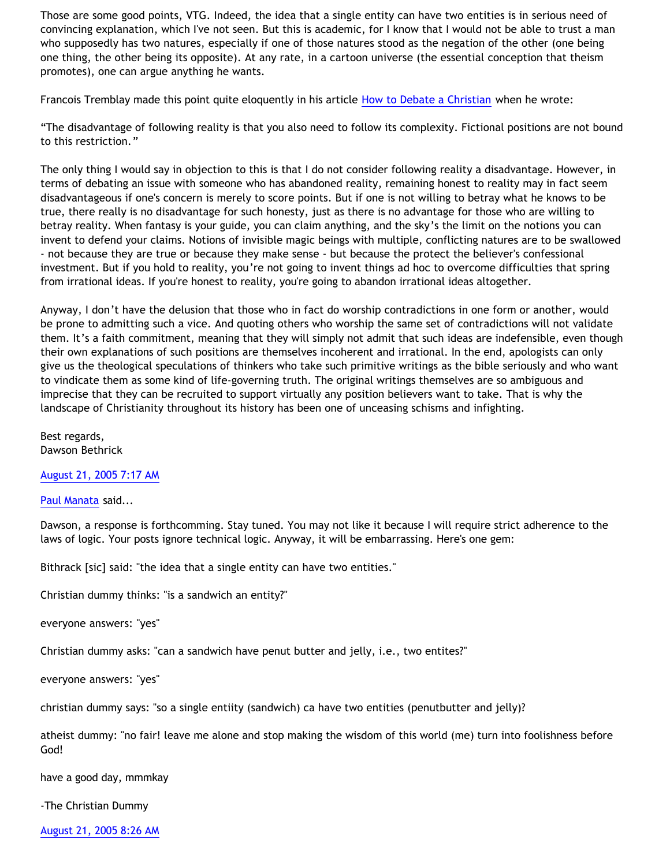Those are some good points, VTG. Indeed, the idea that a single entity can have two entities is in serious need of convincing explanation, which I've not seen. But this is academic, for I know that I would not be able to trust a man who supposedly has two natures, especially if one of those natures stood as the negation of the other (one being one thing, the other being its opposite). At any rate, in a cartoon universe (the essential conception that theism promotes), one can argue anything he wants.

Francois Tremblay made this point quite eloquently in his article [How to Debate a Christian](http://www.objectivethought.com/apologetics/debateaxian.html) when he wrote:

"The disadvantage of following reality is that you also need to follow its complexity. Fictional positions are not bound to this restriction."

The only thing I would say in objection to this is that I do not consider following reality a disadvantage. However, in terms of debating an issue with someone who has abandoned reality, remaining honest to reality may in fact seem disadvantageous if one's concern is merely to score points. But if one is not willing to betray what he knows to be true, there really is no disadvantage for such honesty, just as there is no advantage for those who are willing to betray reality. When fantasy is your guide, you can claim anything, and the sky's the limit on the notions you can invent to defend your claims. Notions of invisible magic beings with multiple, conflicting natures are to be swallowed - not because they are true or because they make sense - but because the protect the believer's confessional investment. But if you hold to reality, you're not going to invent things ad hoc to overcome difficulties that spring from irrational ideas. If you're honest to reality, you're going to abandon irrational ideas altogether.

Anyway, I don't have the delusion that those who in fact do worship contradictions in one form or another, would be prone to admitting such a vice. And quoting others who worship the same set of contradictions will not validate them. It's a faith commitment, meaning that they will simply not admit that such ideas are indefensible, even though their own explanations of such positions are themselves incoherent and irrational. In the end, apologists can only give us the theological speculations of thinkers who take such primitive writings as the bible seriously and who want to vindicate them as some kind of life-governing truth. The original writings themselves are so ambiguous and imprecise that they can be recruited to support virtually any position believers want to take. That is why the landscape of Christianity throughout its history has been one of unceasing schisms and infighting.

Best regards, Dawson Bethrick

[August 21, 2005 7:17 AM](http://bahnsenburner.blogspot.com/2005/08/112463387216089826)

[Paul Manata](http://www.blogger.com/profile/7464842) said...

Dawson, a response is forthcomming. Stay tuned. You may not like it because I will require strict adherence to the laws of logic. Your posts ignore technical logic. Anyway, it will be embarrassing. Here's one gem:

Bithrack [sic] said: "the idea that a single entity can have two entities."

Christian dummy thinks: "is a sandwich an entity?"

everyone answers: "yes"

Christian dummy asks: "can a sandwich have penut butter and jelly, i.e., two entites?"

everyone answers: "yes"

christian dummy says: "so a single entiity (sandwich) ca have two entities (penutbutter and jelly)?

atheist dummy: "no fair! leave me alone and stop making the wisdom of this world (me) turn into foolishness before God!

have a good day, mmmkay

-The Christian Dummy

[August 21, 2005 8:26 AM](http://bahnsenburner.blogspot.com/2005/08/112463800469913969)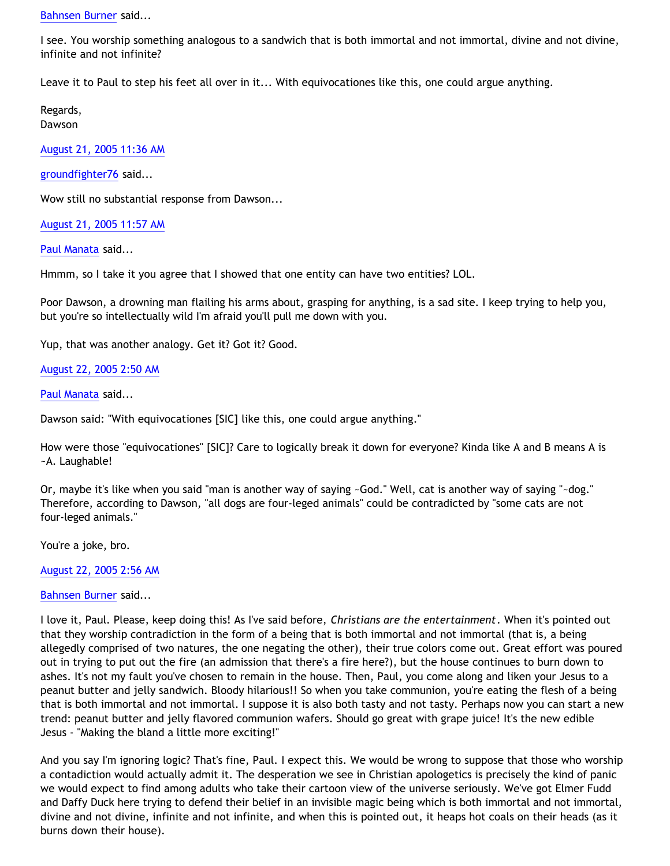#### [Bahnsen Burner](http://www.blogger.com/profile/7766918) said...

I see. You worship something analogous to a sandwich that is both immortal and not immortal, divine and not divine, infinite and not infinite?

Leave it to Paul to step his feet all over in it... With equivocationes like this, one could argue anything.

Regards, Dawson

[August 21, 2005 11:36 AM](http://bahnsenburner.blogspot.com/2005/08/112464941817344882)

[groundfighter76](http://www.blogger.com/profile/8210797) said...

Wow still no substantial response from Dawson...

[August 21, 2005 11:57 AM](http://bahnsenburner.blogspot.com/2005/08/112465066031765778)

[Paul Manata](http://www.blogger.com/profile/7464842) said...

Hmmm, so I take it you agree that I showed that one entity can have two entities? LOL.

Poor Dawson, a drowning man flailing his arms about, grasping for anything, is a sad site. I keep trying to help you, but you're so intellectually wild I'm afraid you'll pull me down with you.

Yup, that was another analogy. Get it? Got it? Good.

[August 22, 2005 2:50 AM](http://bahnsenburner.blogspot.com/2005/08/112470420557899257)

[Paul Manata](http://www.blogger.com/profile/7464842) said...

Dawson said: "With equivocationes [SIC] like this, one could argue anything."

How were those "equivocationes" [SIC]? Care to logically break it down for everyone? Kinda like A and B means A is ~A. Laughable!

Or, maybe it's like when you said "man is another way of saying ~God." Well, cat is another way of saying "~dog." Therefore, according to Dawson, "all dogs are four-leged animals" could be contradicted by "some cats are not four-leged animals."

You're a joke, bro.

[August 22, 2005 2:56 AM](http://bahnsenburner.blogspot.com/2005/08/112470456938354979)

[Bahnsen Burner](http://www.blogger.com/profile/7766918) said...

I love it, Paul. Please, keep doing this! As I've said before, *Christians are the entertainment*. When it's pointed out that they worship contradiction in the form of a being that is both immortal and not immortal (that is, a being allegedly comprised of two natures, the one negating the other), their true colors come out. Great effort was poured out in trying to put out the fire (an admission that there's a fire here?), but the house continues to burn down to ashes. It's not my fault you've chosen to remain in the house. Then, Paul, you come along and liken your Jesus to a peanut butter and jelly sandwich. Bloody hilarious!! So when you take communion, you're eating the flesh of a being that is both immortal and not immortal. I suppose it is also both tasty and not tasty. Perhaps now you can start a new trend: peanut butter and jelly flavored communion wafers. Should go great with grape juice! It's the new edible Jesus - "Making the bland a little more exciting!"

And you say I'm ignoring logic? That's fine, Paul. I expect this. We would be wrong to suppose that those who worship a contadiction would actually admit it. The desperation we see in Christian apologetics is precisely the kind of panic we would expect to find among adults who take their cartoon view of the universe seriously. We've got Elmer Fudd and Daffy Duck here trying to defend their belief in an invisible magic being which is both immortal and not immortal, divine and not divine, infinite and not infinite, and when this is pointed out, it heaps hot coals on their heads (as it burns down their house).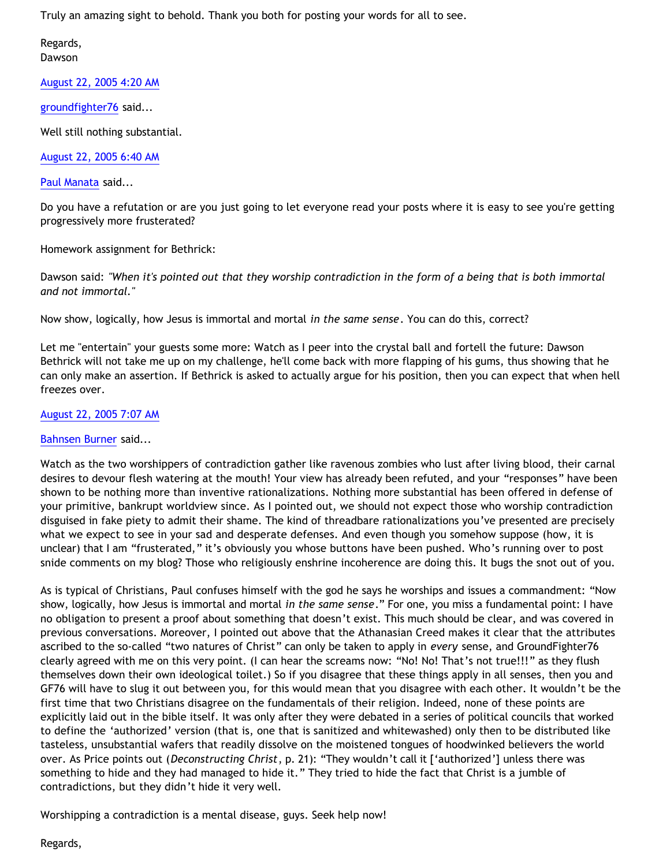Truly an amazing sight to behold. Thank you both for posting your words for all to see.

Regards, Dawson

[August 22, 2005 4:20 AM](http://bahnsenburner.blogspot.com/2005/08/112470964789104669)

[groundfighter76](http://www.blogger.com/profile/8210797) said...

Well still nothing substantial.

[August 22, 2005 6:40 AM](http://bahnsenburner.blogspot.com/2005/08/112471805051567103)

[Paul Manata](http://www.blogger.com/profile/7464842) said...

Do you have a refutation or are you just going to let everyone read your posts where it is easy to see you're getting progressively more frusterated?

Homework assignment for Bethrick:

Dawson said: *"When it's pointed out that they worship contradiction in the form of a being that is both immortal and not immortal."*

Now show, logically, how Jesus is immortal and mortal *in the same sense*. You can do this, correct?

Let me "entertain" your guests some more: Watch as I peer into the crystal ball and fortell the future: Dawson Bethrick will not take me up on my challenge, he'll come back with more flapping of his gums, thus showing that he can only make an assertion. If Bethrick is asked to actually argue for his position, then you can expect that when hell freezes over.

# [August 22, 2005 7:07 AM](http://bahnsenburner.blogspot.com/2005/08/112471962557611685)

## [Bahnsen Burner](http://www.blogger.com/profile/7766918) said...

Watch as the two worshippers of contradiction gather like ravenous zombies who lust after living blood, their carnal desires to devour flesh watering at the mouth! Your view has already been refuted, and your "responses" have been shown to be nothing more than inventive rationalizations. Nothing more substantial has been offered in defense of your primitive, bankrupt worldview since. As I pointed out, we should not expect those who worship contradiction disguised in fake piety to admit their shame. The kind of threadbare rationalizations you've presented are precisely what we expect to see in your sad and desperate defenses. And even though you somehow suppose (how, it is unclear) that I am "frusterated," it's obviously you whose buttons have been pushed. Who's running over to post snide comments on my blog? Those who religiously enshrine incoherence are doing this. It bugs the snot out of you.

As is typical of Christians, Paul confuses himself with the god he says he worships and issues a commandment: "Now show, logically, how Jesus is immortal and mortal *in the same sense*." For one, you miss a fundamental point: I have no obligation to present a proof about something that doesn't exist. This much should be clear, and was covered in previous conversations. Moreover, I pointed out above that the Athanasian Creed makes it clear that the attributes ascribed to the so-called "two natures of Christ" can only be taken to apply in *every* sense, and GroundFighter76 clearly agreed with me on this very point. (I can hear the screams now: "No! No! That's not true!!!" as they flush themselves down their own ideological toilet.) So if you disagree that these things apply in all senses, then you and GF76 will have to slug it out between you, for this would mean that you disagree with each other. It wouldn't be the first time that two Christians disagree on the fundamentals of their religion. Indeed, none of these points are explicitly laid out in the bible itself. It was only after they were debated in a series of political councils that worked to define the 'authorized' version (that is, one that is sanitized and whitewashed) only then to be distributed like tasteless, unsubstantial wafers that readily dissolve on the moistened tongues of hoodwinked believers the world over. As Price points out (*Deconstructing Christ*, p. 21): "They wouldn't call it ['authorized'] unless there was something to hide and they had managed to hide it." They tried to hide the fact that Christ is a jumble of contradictions, but they didn't hide it very well.

Worshipping a contradiction is a mental disease, guys. Seek help now!

Regards,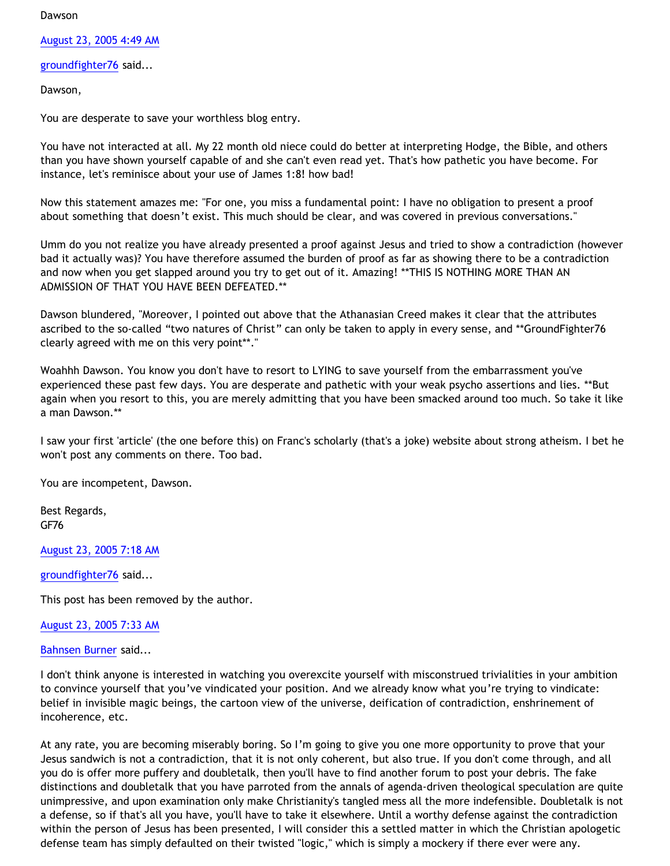#### Dawson

[August 23, 2005 4:49 AM](http://bahnsenburner.blogspot.com/2005/08/112479775320454149)

[groundfighter76](http://www.blogger.com/profile/8210797) said...

Dawson,

You are desperate to save your worthless blog entry.

You have not interacted at all. My 22 month old niece could do better at interpreting Hodge, the Bible, and others than you have shown yourself capable of and she can't even read yet. That's how pathetic you have become. For instance, let's reminisce about your use of James 1:8! how bad!

Now this statement amazes me: "For one, you miss a fundamental point: I have no obligation to present a proof about something that doesn't exist. This much should be clear, and was covered in previous conversations."

Umm do you not realize you have already presented a proof against Jesus and tried to show a contradiction (however bad it actually was)? You have therefore assumed the burden of proof as far as showing there to be a contradiction and now when you get slapped around you try to get out of it. Amazing! \*\*THIS IS NOTHING MORE THAN AN ADMISSION OF THAT YOU HAVE BEEN DEFEATED.\*\*

Dawson blundered, "Moreover, I pointed out above that the Athanasian Creed makes it clear that the attributes ascribed to the so-called "two natures of Christ" can only be taken to apply in every sense, and \*\*GroundFighter76 clearly agreed with me on this very point\*\*."

Woahhh Dawson. You know you don't have to resort to LYING to save yourself from the embarrassment you've experienced these past few days. You are desperate and pathetic with your weak psycho assertions and lies. \*\*But again when you resort to this, you are merely admitting that you have been smacked around too much. So take it like a man Dawson.\*\*

I saw your first 'article' (the one before this) on Franc's scholarly (that's a joke) website about strong atheism. I bet he won't post any comments on there. Too bad.

You are incompetent, Dawson.

Best Regards, GF76

[August 23, 2005 7:18 AM](http://bahnsenburner.blogspot.com/2005/08/112480670220113798)

[groundfighter76](http://www.blogger.com/profile/8210797) said...

This post has been removed by the author.

[August 23, 2005 7:33 AM](http://bahnsenburner.blogspot.com/2005/08/112480759314034735)

[Bahnsen Burner](http://www.blogger.com/profile/7766918) said...

I don't think anyone is interested in watching you overexcite yourself with misconstrued trivialities in your ambition to convince yourself that you've vindicated your position. And we already know what you're trying to vindicate: belief in invisible magic beings, the cartoon view of the universe, deification of contradiction, enshrinement of incoherence, etc.

At any rate, you are becoming miserably boring. So I'm going to give you one more opportunity to prove that your Jesus sandwich is not a contradiction, that it is not only coherent, but also true. If you don't come through, and all you do is offer more puffery and doubletalk, then you'll have to find another forum to post your debris. The fake distinctions and doubletalk that you have parroted from the annals of agenda-driven theological speculation are quite unimpressive, and upon examination only make Christianity's tangled mess all the more indefensible. Doubletalk is not a defense, so if that's all you have, you'll have to take it elsewhere. Until a worthy defense against the contradiction within the person of Jesus has been presented, I will consider this a settled matter in which the Christian apologetic defense team has simply defaulted on their twisted "logic," which is simply a mockery if there ever were any.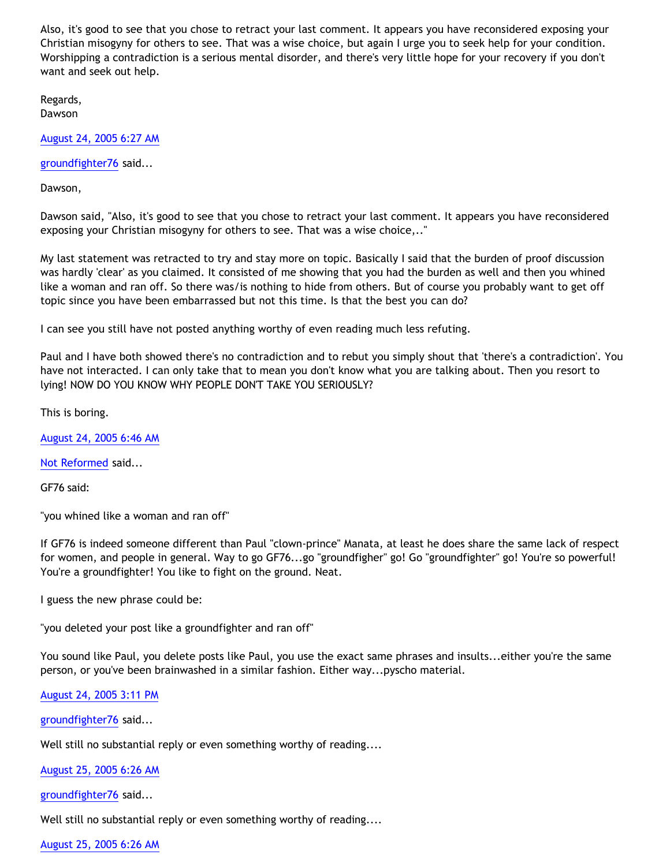Also, it's good to see that you chose to retract your last comment. It appears you have reconsidered exposing your Christian misogyny for others to see. That was a wise choice, but again I urge you to seek help for your condition. Worshipping a contradiction is a serious mental disorder, and there's very little hope for your recovery if you don't want and seek out help.

Regards, Dawson

[August 24, 2005 6:27 AM](http://bahnsenburner.blogspot.com/2005/08/112489007750079592)

[groundfighter76](http://www.blogger.com/profile/8210797) said...

Dawson,

Dawson said, "Also, it's good to see that you chose to retract your last comment. It appears you have reconsidered exposing your Christian misogyny for others to see. That was a wise choice,.."

My last statement was retracted to try and stay more on topic. Basically I said that the burden of proof discussion was hardly 'clear' as you claimed. It consisted of me showing that you had the burden as well and then you whined like a woman and ran off. So there was/is nothing to hide from others. But of course you probably want to get off topic since you have been embarrassed but not this time. Is that the best you can do?

I can see you still have not posted anything worthy of even reading much less refuting.

Paul and I have both showed there's no contradiction and to rebut you simply shout that 'there's a contradiction'. You have not interacted. I can only take that to mean you don't know what you are talking about. Then you resort to lying! NOW DO YOU KNOW WHY PEOPLE DON'T TAKE YOU SERIOUSLY?

This is boring.

[August 24, 2005 6:46 AM](http://bahnsenburner.blogspot.com/2005/08/112489117870829076)

[Not Reformed](http://www.blogger.com/profile/8159639) said...

GF76 said:

"you whined like a woman and ran off"

If GF76 is indeed someone different than Paul "clown-prince" Manata, at least he does share the same lack of respect for women, and people in general. Way to go GF76...go "groundfigher" go! Go "groundfighter" go! You're so powerful! You're a groundfighter! You like to fight on the ground. Neat.

I guess the new phrase could be:

"you deleted your post like a groundfighter and ran off"

You sound like Paul, you delete posts like Paul, you use the exact same phrases and insults...either you're the same person, or you've been brainwashed in a similar fashion. Either way...pyscho material.

[August 24, 2005 3:11 PM](http://bahnsenburner.blogspot.com/2005/08/112492146939854959)

[groundfighter76](http://www.blogger.com/profile/8210797) said...

Well still no substantial reply or even something worthy of reading....

[August 25, 2005 6:26 AM](http://bahnsenburner.blogspot.com/2005/08/112497641622498172)

[groundfighter76](http://www.blogger.com/profile/8210797) said...

Well still no substantial reply or even something worthy of reading....

[August 25, 2005 6:26 AM](http://bahnsenburner.blogspot.com/2005/08/112497641870049342)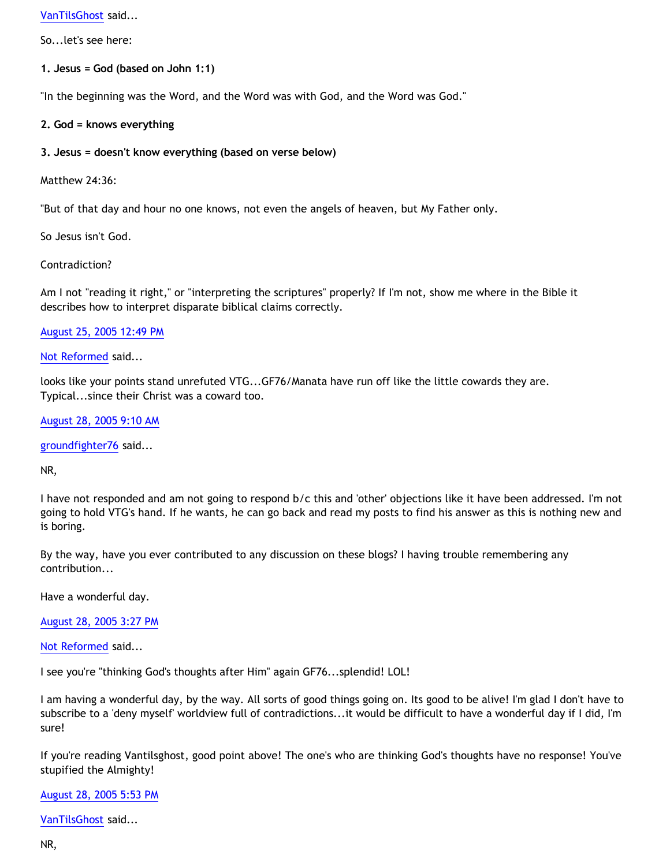[VanTilsGhost](http://www.blogger.com/profile/9496584) said...

So...let's see here:

**1. Jesus = God (based on John 1:1)** 

"In the beginning was the Word, and the Word was with God, and the Word was God."

## **2. God = knows everything**

## **3. Jesus = doesn't know everything (based on verse below)**

Matthew 24:36:

"But of that day and hour no one knows, not even the angels of heaven, but My Father only.

So Jesus isn't God.

Contradiction?

Am I not "reading it right," or "interpreting the scriptures" properly? If I'm not, show me where in the Bible it describes how to interpret disparate biblical claims correctly.

## [August 25, 2005 12:49 PM](http://bahnsenburner.blogspot.com/2005/08/112499935932515614)

[Not Reformed](http://www.blogger.com/profile/8159639) said...

looks like your points stand unrefuted VTG...GF76/Manata have run off like the little cowards they are. Typical...since their Christ was a coward too.

[August 28, 2005 9:10 AM](http://bahnsenburner.blogspot.com/2005/08/112524541997511507)

[groundfighter76](http://www.blogger.com/profile/8210797) said...

NR,

I have not responded and am not going to respond b/c this and 'other' objections like it have been addressed. I'm not going to hold VTG's hand. If he wants, he can go back and read my posts to find his answer as this is nothing new and is boring.

By the way, have you ever contributed to any discussion on these blogs? I having trouble remembering any contribution...

Have a wonderful day.

[August 28, 2005 3:27 PM](http://bahnsenburner.blogspot.com/2005/08/112526805295014919)

[Not Reformed](http://www.blogger.com/profile/8159639) said...

I see you're "thinking God's thoughts after Him" again GF76...splendid! LOL!

I am having a wonderful day, by the way. All sorts of good things going on. Its good to be alive! I'm glad I don't have to subscribe to a 'deny myself' worldview full of contradictions...it would be difficult to have a wonderful day if I did, I'm sure!

If you're reading Vantilsghost, good point above! The one's who are thinking God's thoughts have no response! You've stupified the Almighty!

## [August 28, 2005 5:53 PM](http://bahnsenburner.blogspot.com/2005/08/112527682451908163)

[VanTilsGhost](http://www.blogger.com/profile/9496584) said...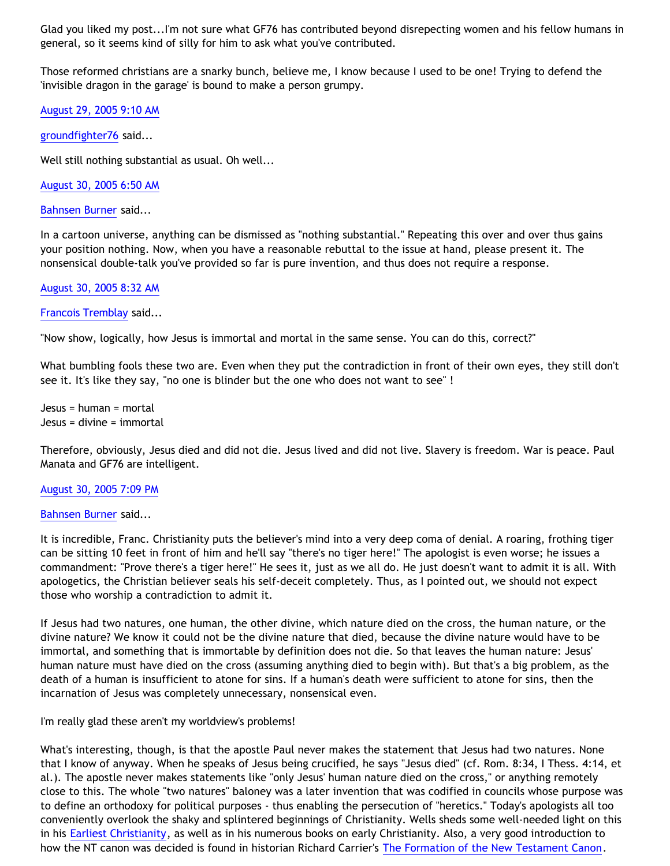Glad you liked my post...I'm not sure what GF76 has contributed beyond disrepecting women and his fellow humans in general, so it seems kind of silly for him to ask what you've contributed.

Those reformed christians are a snarky bunch, believe me, I know because I used to be one! Trying to defend the 'invisible dragon in the garage' is bound to make a person grumpy.

[August 29, 2005 9:10 AM](http://bahnsenburner.blogspot.com/2005/08/112533182750365141)

[groundfighter76](http://www.blogger.com/profile/8210797) said...

Well still nothing substantial as usual. Oh well...

[August 30, 2005 6:50 AM](http://bahnsenburner.blogspot.com/2005/08/112540984054289113)

[Bahnsen Burner](http://www.blogger.com/profile/7766918) said...

In a cartoon universe, anything can be dismissed as "nothing substantial." Repeating this over and over thus gains your position nothing. Now, when you have a reasonable rebuttal to the issue at hand, please present it. The nonsensical double-talk you've provided so far is pure invention, and thus does not require a response.

### [August 30, 2005 8:32 AM](http://bahnsenburner.blogspot.com/2005/08/112541595730498322)

[Francois Tremblay](http://www.blogger.com/profile/7715861) said...

"Now show, logically, how Jesus is immortal and mortal in the same sense. You can do this, correct?"

What bumbling fools these two are. Even when they put the contradiction in front of their own eyes, they still don't see it. It's like they say, "no one is blinder but the one who does not want to see" !

Jesus = human = mortal Jesus = divine = immortal

Therefore, obviously, Jesus died and did not die. Jesus lived and did not live. Slavery is freedom. War is peace. Paul Manata and GF76 are intelligent.

[August 30, 2005 7:09 PM](http://bahnsenburner.blogspot.com/2005/08/112545416593392418)

#### [Bahnsen Burner](http://www.blogger.com/profile/7766918) said...

It is incredible, Franc. Christianity puts the believer's mind into a very deep coma of denial. A roaring, frothing tiger can be sitting 10 feet in front of him and he'll say "there's no tiger here!" The apologist is even worse; he issues a commandment: "Prove there's a tiger here!" He sees it, just as we all do. He just doesn't want to admit it is all. With apologetics, the Christian believer seals his self-deceit completely. Thus, as I pointed out, we should not expect those who worship a contradiction to admit it.

If Jesus had two natures, one human, the other divine, which nature died on the cross, the human nature, or the divine nature? We know it could not be the divine nature that died, because the divine nature would have to be immortal, and something that is immortable by definition does not die. So that leaves the human nature: Jesus' human nature must have died on the cross (assuming anything died to begin with). But that's a big problem, as the death of a human is insufficient to atone for sins. If a human's death were sufficient to atone for sins, then the incarnation of Jesus was completely unnecessary, nonsensical even.

I'm really glad these aren't my worldview's problems!

What's interesting, though, is that the apostle Paul never makes the statement that Jesus had two natures. None that I know of anyway. When he speaks of Jesus being crucified, he says "Jesus died" (cf. Rom. 8:34, I Thess. 4:14, et al.). The apostle never makes statements like "only Jesus' human nature died on the cross," or anything remotely close to this. The whole "two natures" baloney was a later invention that was codified in councils whose purpose was to define an orthodoxy for political purposes - thus enabling the persecution of "heretics." Today's apologists all too conveniently overlook the shaky and splintered beginnings of Christianity. Wells sheds some well-needed light on this in his [Earliest Christianity,](http://www.infidels.org/library/modern/g_a_wells/earliest.html) as well as in his numerous books on early Christianity. Also, a very good introduction to how the NT canon was decided is found in historian Richard Carrier's [The Formation of the New Testament Canon](http://www.infidels.org/library/modern/richard_carrier/NTcanon.html).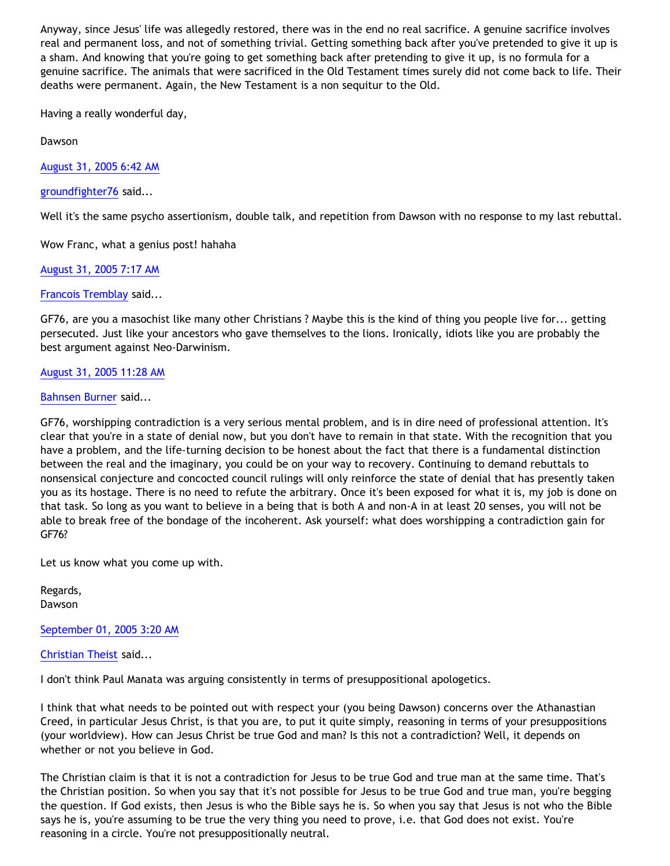Anyway, since Jesus' life was allegedly restored, there was in the end no real sacrifice. A genuine sacrifice involves real and permanent loss, and not of something trivial. Getting something back after you've pretended to give it up is a sham. And knowing that you're going to get something back after pretending to give it up, is no formula for a genuine sacrifice. The animals that were sacrificed in the Old Testament times surely did not come back to life. Their deaths were permanent. Again, the New Testament is a non sequitur to the Old.

Having a really wonderful day,

Dawson

[August 31, 2005 6:42 AM](http://bahnsenburner.blogspot.com/2005/08/112549574295620364)

[groundfighter76](http://www.blogger.com/profile/8210797) said...

Well it's the same psycho assertionism, double talk, and repetition from Dawson with no response to my last rebuttal.

Wow Franc, what a genius post! hahaha

[August 31, 2005 7:17 AM](http://bahnsenburner.blogspot.com/2005/08/112549782270220428)

[Francois Tremblay](http://www.blogger.com/profile/7715861) said...

GF76, are you a masochist like many other Christians ? Maybe this is the kind of thing you people live for... getting persecuted. Just like your ancestors who gave themselves to the lions. Ironically, idiots like you are probably the best argument against Neo-Darwinism.

## [August 31, 2005 11:28 AM](http://bahnsenburner.blogspot.com/2005/08/112551293873731910)

[Bahnsen Burner](http://www.blogger.com/profile/7766918) said...

GF76, worshipping contradiction is a very serious mental problem, and is in dire need of professional attention. It's clear that you're in a state of denial now, but you don't have to remain in that state. With the recognition that you have a problem, and the life-turning decision to be honest about the fact that there is a fundamental distinction between the real and the imaginary, you could be on your way to recovery. Continuing to demand rebuttals to nonsensical conjecture and concocted council rulings will only reinforce the state of denial that has presently taken you as its hostage. There is no need to refute the arbitrary. Once it's been exposed for what it is, my job is done on that task. So long as you want to believe in a being that is both A and non-A in at least 20 senses, you will not be able to break free of the bondage of the incoherent. Ask yourself: what does worshipping a contradiction gain for GF76?

Let us know what you come up with.

Regards, Dawson

[September 01, 2005 3:20 AM](http://bahnsenburner.blogspot.com/2005/08/112557005744977959)

[Christian Theist](http://www.blogger.com/profile/13040841) said...

I don't think Paul Manata was arguing consistently in terms of presuppositional apologetics.

I think that what needs to be pointed out with respect your (you being Dawson) concerns over the Athanastian Creed, in particular Jesus Christ, is that you are, to put it quite simply, reasoning in terms of your presuppositions (your worldview). How can Jesus Christ be true God and man? Is this not a contradiction? Well, it depends on whether or not you believe in God.

The Christian claim is that it is not a contradiction for Jesus to be true God and true man at the same time. That's the Christian position. So when you say that it's not possible for Jesus to be true God and true man, you're begging the question. If God exists, then Jesus is who the Bible says he is. So when you say that Jesus is not who the Bible says he is, you're assuming to be true the very thing you need to prove, i.e. that God does not exist. You're reasoning in a circle. You're not presuppositionally neutral.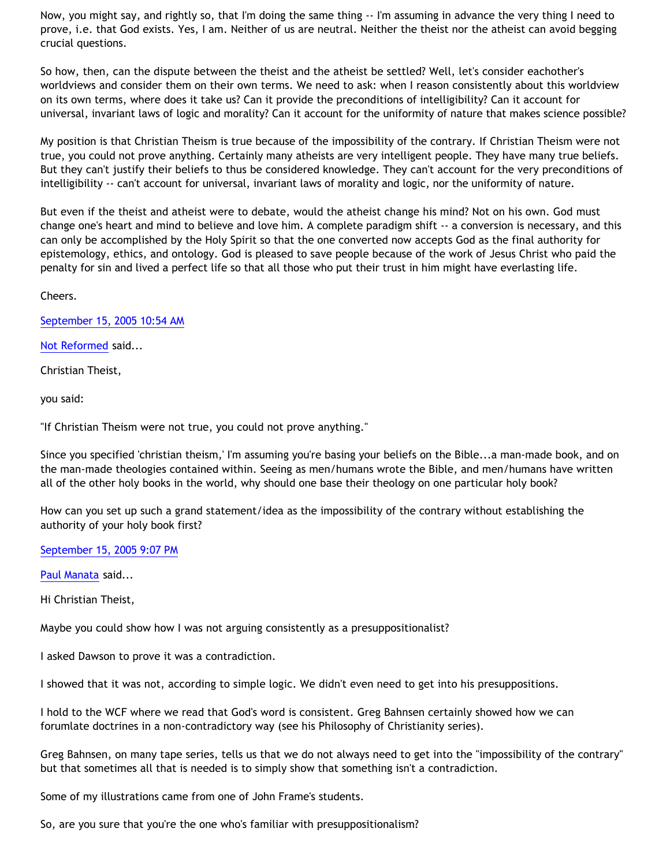Now, you might say, and rightly so, that I'm doing the same thing -- I'm assuming in advance the very thing I need to prove, i.e. that God exists. Yes, I am. Neither of us are neutral. Neither the theist nor the atheist can avoid begging crucial questions.

So how, then, can the dispute between the theist and the atheist be settled? Well, let's consider eachother's worldviews and consider them on their own terms. We need to ask: when I reason consistently about this worldview on its own terms, where does it take us? Can it provide the preconditions of intelligibility? Can it account for universal, invariant laws of logic and morality? Can it account for the uniformity of nature that makes science possible?

My position is that Christian Theism is true because of the impossibility of the contrary. If Christian Theism were not true, you could not prove anything. Certainly many atheists are very intelligent people. They have many true beliefs. But they can't justify their beliefs to thus be considered knowledge. They can't account for the very preconditions of intelligibility -- can't account for universal, invariant laws of morality and logic, nor the uniformity of nature.

But even if the theist and atheist were to debate, would the atheist change his mind? Not on his own. God must change one's heart and mind to believe and love him. A complete paradigm shift -- a conversion is necessary, and this can only be accomplished by the Holy Spirit so that the one converted now accepts God as the final authority for epistemology, ethics, and ontology. God is pleased to save people because of the work of Jesus Christ who paid the penalty for sin and lived a perfect life so that all those who put their trust in him might have everlasting life.

Cheers.

[September 15, 2005 10:54 AM](http://bahnsenburner.blogspot.com/2005/08/112680684631379172)

[Not Reformed](http://www.blogger.com/profile/8159639) said...

Christian Theist,

you said:

"If Christian Theism were not true, you could not prove anything."

Since you specified 'christian theism,' I'm assuming you're basing your beliefs on the Bible...a man-made book, and on the man-made theologies contained within. Seeing as men/humans wrote the Bible, and men/humans have written all of the other holy books in the world, why should one base their theology on one particular holy book?

How can you set up such a grand statement/idea as the impossibility of the contrary without establishing the authority of your holy book first?

[September 15, 2005 9:07 PM](http://bahnsenburner.blogspot.com/2005/08/112684362530960732)

[Paul Manata](http://www.blogger.com/profile/7464842) said...

Hi Christian Theist,

Maybe you could show how I was not arguing consistently as a presuppositionalist?

I asked Dawson to prove it was a contradiction.

I showed that it was not, according to simple logic. We didn't even need to get into his presuppositions.

I hold to the WCF where we read that God's word is consistent. Greg Bahnsen certainly showed how we can forumlate doctrines in a non-contradictory way (see his Philosophy of Christianity series).

Greg Bahnsen, on many tape series, tells us that we do not always need to get into the "impossibility of the contrary" but that sometimes all that is needed is to simply show that something isn't a contradiction.

Some of my illustrations came from one of John Frame's students.

So, are you sure that you're the one who's familiar with presuppositionalism?